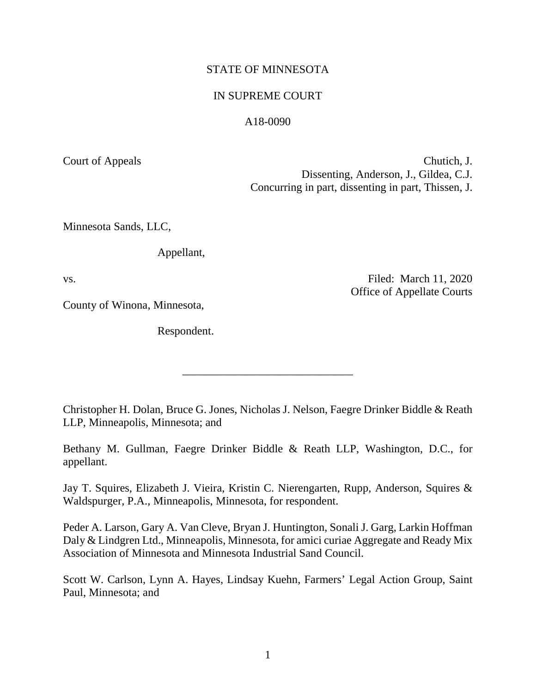## STATE OF MINNESOTA

### IN SUPREME COURT

## A18-0090

Court of Appeals Chutich, J. Dissenting, Anderson, J., Gildea, C.J. Concurring in part, dissenting in part, Thissen, J.

Minnesota Sands, LLC,

Appellant,

County of Winona, Minnesota,

Respondent.

vs. Solution of the contract of the contract of the Filed: March 11, 2020 Office of Appellate Courts

Christopher H. Dolan, Bruce G. Jones, Nicholas J. Nelson, Faegre Drinker Biddle & Reath LLP, Minneapolis, Minnesota; and

\_\_\_\_\_\_\_\_\_\_\_\_\_\_\_\_\_\_\_\_\_\_\_\_\_\_\_\_\_\_

Bethany M. Gullman, Faegre Drinker Biddle & Reath LLP, Washington, D.C., for appellant.

Jay T. Squires, Elizabeth J. Vieira, Kristin C. Nierengarten, Rupp, Anderson, Squires & Waldspurger, P.A., Minneapolis, Minnesota, for respondent.

Peder A. Larson, Gary A. Van Cleve, Bryan J. Huntington, Sonali J. Garg, Larkin Hoffman Daly & Lindgren Ltd., Minneapolis, Minnesota, for amici curiae Aggregate and Ready Mix Association of Minnesota and Minnesota Industrial Sand Council.

Scott W. Carlson, Lynn A. Hayes, Lindsay Kuehn, Farmers' Legal Action Group, Saint Paul, Minnesota; and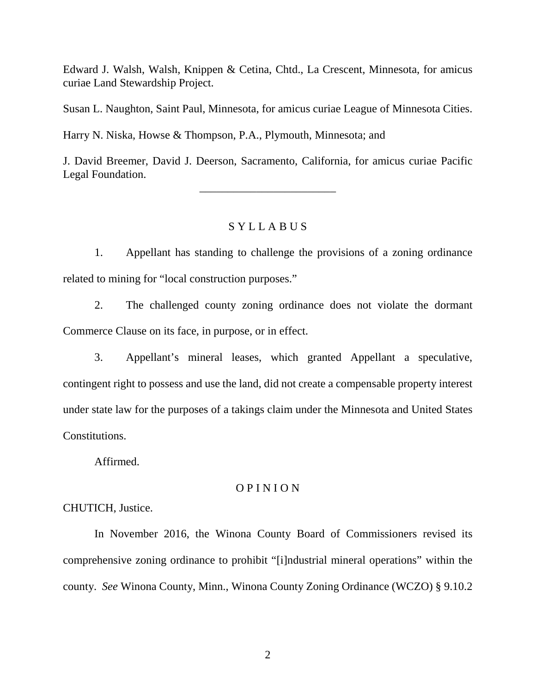Edward J. Walsh, Walsh, Knippen & Cetina, Chtd., La Crescent, Minnesota, for amicus curiae Land Stewardship Project.

Susan L. Naughton, Saint Paul, Minnesota, for amicus curiae League of Minnesota Cities.

Harry N. Niska, Howse & Thompson, P.A., Plymouth, Minnesota; and

J. David Breemer, David J. Deerson, Sacramento, California, for amicus curiae Pacific Legal Foundation.

\_\_\_\_\_\_\_\_\_\_\_\_\_\_\_\_\_\_\_\_\_\_\_\_

# S Y L L A B U S

1. Appellant has standing to challenge the provisions of a zoning ordinance related to mining for "local construction purposes."

2. The challenged county zoning ordinance does not violate the dormant Commerce Clause on its face, in purpose, or in effect.

3. Appellant's mineral leases, which granted Appellant a speculative, contingent right to possess and use the land, did not create a compensable property interest under state law for the purposes of a takings claim under the Minnesota and United States Constitutions.

Affirmed.

# O P I N I O N

CHUTICH, Justice.

In November 2016, the Winona County Board of Commissioners revised its comprehensive zoning ordinance to prohibit "[i]ndustrial mineral operations" within the county. *See* Winona County, Minn., Winona County Zoning Ordinance (WCZO) § 9.10.2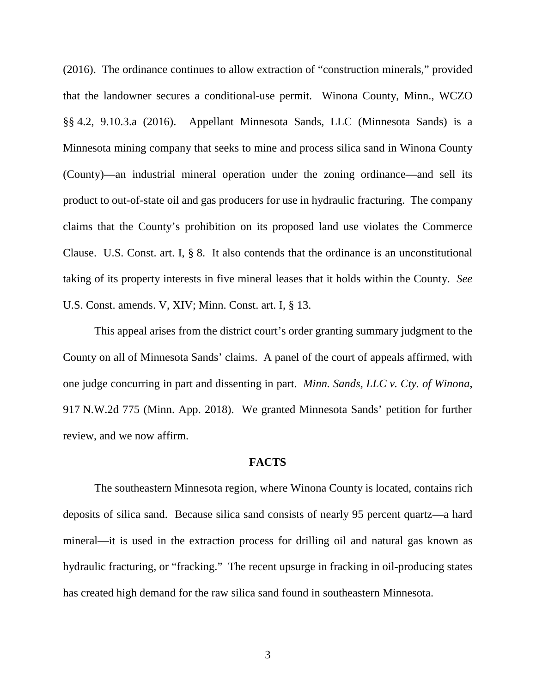(2016). The ordinance continues to allow extraction of "construction minerals," provided that the landowner secures a conditional-use permit. Winona County, Minn., WCZO §§ 4.2, 9.10.3.a (2016). Appellant Minnesota Sands, LLC (Minnesota Sands) is a Minnesota mining company that seeks to mine and process silica sand in Winona County (County)—an industrial mineral operation under the zoning ordinance—and sell its product to out-of-state oil and gas producers for use in hydraulic fracturing. The company claims that the County's prohibition on its proposed land use violates the Commerce Clause. U.S. Const. art. I, § 8. It also contends that the ordinance is an unconstitutional taking of its property interests in five mineral leases that it holds within the County. *See* U.S. Const. amends. V, XIV; Minn. Const. art. I, § 13.

This appeal arises from the district court's order granting summary judgment to the County on all of Minnesota Sands' claims. A panel of the court of appeals affirmed, with one judge concurring in part and dissenting in part. *Minn. Sands, LLC v. Cty. of Winona*, 917 N.W.2d 775 (Minn. App. 2018). We granted Minnesota Sands' petition for further review, and we now affirm.

### **FACTS**

The southeastern Minnesota region, where Winona County is located, contains rich deposits of silica sand. Because silica sand consists of nearly 95 percent quartz—a hard mineral—it is used in the extraction process for drilling oil and natural gas known as hydraulic fracturing, or "fracking." The recent upsurge in fracking in oil-producing states has created high demand for the raw silica sand found in southeastern Minnesota.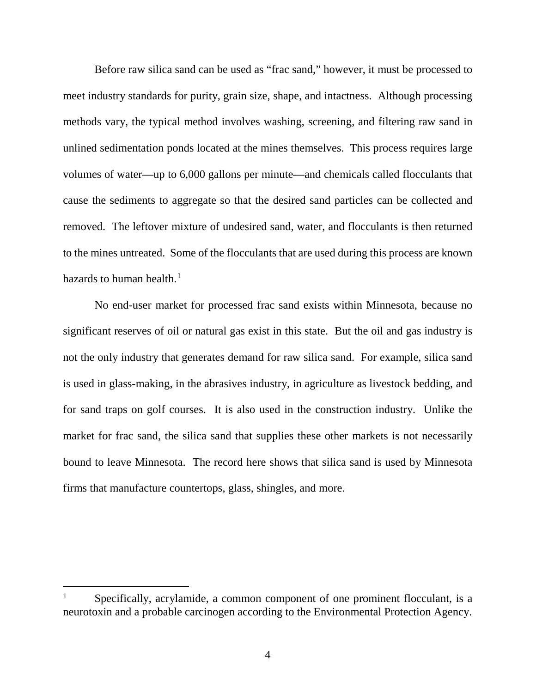Before raw silica sand can be used as "frac sand," however, it must be processed to meet industry standards for purity, grain size, shape, and intactness. Although processing methods vary, the typical method involves washing, screening, and filtering raw sand in unlined sedimentation ponds located at the mines themselves. This process requires large volumes of water—up to 6,000 gallons per minute—and chemicals called flocculants that cause the sediments to aggregate so that the desired sand particles can be collected and removed. The leftover mixture of undesired sand, water, and flocculants is then returned to the mines untreated. Some of the flocculants that are used during this process are known hazards to human health. [1](#page-3-0)

No end-user market for processed frac sand exists within Minnesota, because no significant reserves of oil or natural gas exist in this state. But the oil and gas industry is not the only industry that generates demand for raw silica sand. For example, silica sand is used in glass-making, in the abrasives industry, in agriculture as livestock bedding, and for sand traps on golf courses. It is also used in the construction industry. Unlike the market for frac sand, the silica sand that supplies these other markets is not necessarily bound to leave Minnesota. The record here shows that silica sand is used by Minnesota firms that manufacture countertops, glass, shingles, and more.

<span id="page-3-0"></span> $1$  Specifically, acrylamide, a common component of one prominent flocculant, is a neurotoxin and a probable carcinogen according to the Environmental Protection Agency.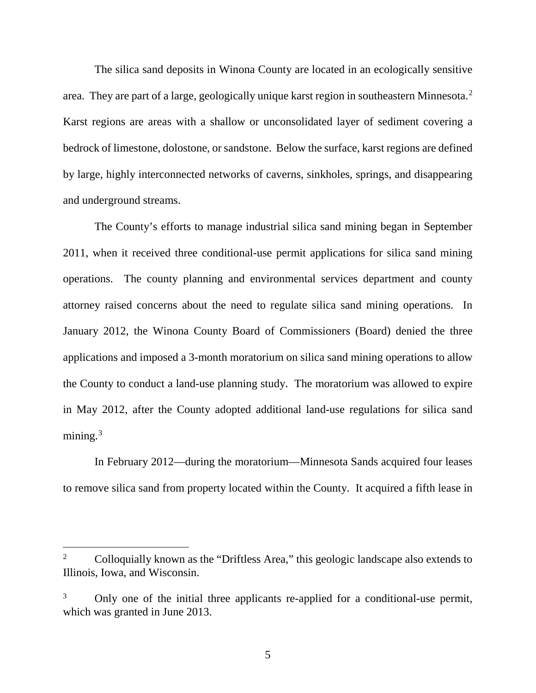The silica sand deposits in Winona County are located in an ecologically sensitive area. They are part of a large, geologically unique karst region in southeastern Minnesota.[2](#page-4-0) Karst regions are areas with a shallow or unconsolidated layer of sediment covering a bedrock of limestone, dolostone, or sandstone. Below the surface, karst regions are defined by large, highly interconnected networks of caverns, sinkholes, springs, and disappearing and underground streams.

The County's efforts to manage industrial silica sand mining began in September 2011, when it received three conditional-use permit applications for silica sand mining operations. The county planning and environmental services department and county attorney raised concerns about the need to regulate silica sand mining operations. In January 2012, the Winona County Board of Commissioners (Board) denied the three applications and imposed a 3-month moratorium on silica sand mining operations to allow the County to conduct a land-use planning study. The moratorium was allowed to expire in May 2012, after the County adopted additional land-use regulations for silica sand mining. $3$ 

In February 2012—during the moratorium—Minnesota Sands acquired four leases to remove silica sand from property located within the County. It acquired a fifth lease in

<span id="page-4-0"></span><sup>&</sup>lt;sup>2</sup> Colloquially known as the "Driftless Area," this geologic landscape also extends to Illinois, Iowa, and Wisconsin.

<span id="page-4-1"></span><sup>&</sup>lt;sup>3</sup> Only one of the initial three applicants re-applied for a conditional-use permit, which was granted in June 2013.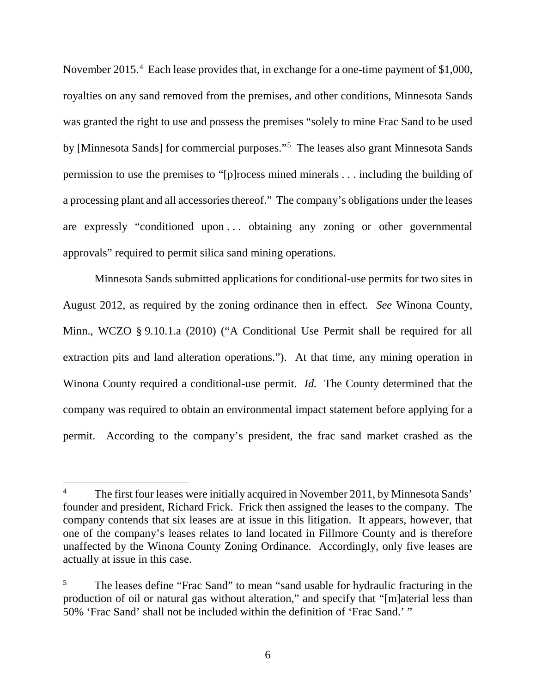November 2015.<sup>[4](#page-5-0)</sup> Each lease provides that, in exchange for a one-time payment of \$1,000, royalties on any sand removed from the premises, and other conditions, Minnesota Sands was granted the right to use and possess the premises "solely to mine Frac Sand to be used by [Minnesota Sands] for commercial purposes."<sup>[5](#page-5-1)</sup> The leases also grant Minnesota Sands permission to use the premises to "[p]rocess mined minerals . . . including the building of a processing plant and all accessories thereof." The company's obligations under the leases are expressly "conditioned upon . . . obtaining any zoning or other governmental approvals" required to permit silica sand mining operations.

Minnesota Sands submitted applications for conditional-use permits for two sites in August 2012, as required by the zoning ordinance then in effect. *See* Winona County, Minn., WCZO § 9.10.1.a (2010) ("A Conditional Use Permit shall be required for all extraction pits and land alteration operations."). At that time, any mining operation in Winona County required a conditional-use permit. *Id.* The County determined that the company was required to obtain an environmental impact statement before applying for a permit. According to the company's president, the frac sand market crashed as the

<span id="page-5-0"></span><sup>&</sup>lt;sup>4</sup> The first four leases were initially acquired in November 2011, by Minnesota Sands' founder and president, Richard Frick. Frick then assigned the leases to the company. The company contends that six leases are at issue in this litigation. It appears, however, that one of the company's leases relates to land located in Fillmore County and is therefore unaffected by the Winona County Zoning Ordinance. Accordingly, only five leases are actually at issue in this case.

<span id="page-5-1"></span><sup>&</sup>lt;sup>5</sup> The leases define "Frac Sand" to mean "sand usable for hydraulic fracturing in the production of oil or natural gas without alteration," and specify that "[m]aterial less than 50% 'Frac Sand' shall not be included within the definition of 'Frac Sand.' "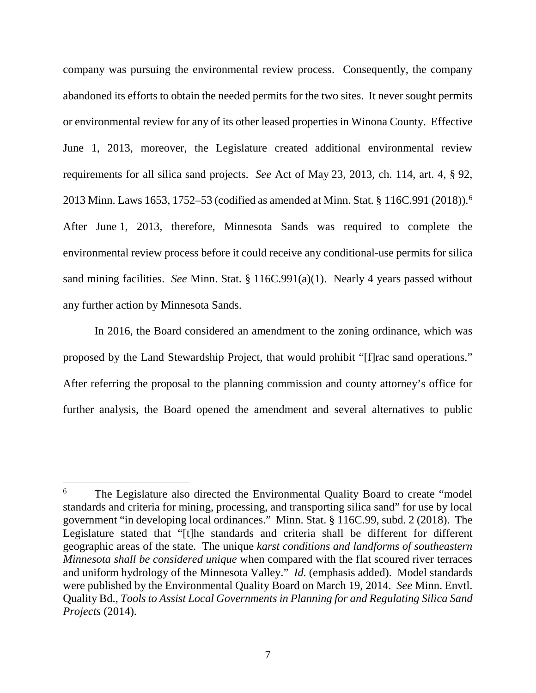company was pursuing the environmental review process. Consequently, the company abandoned its efforts to obtain the needed permits for the two sites. It never sought permits or environmental review for any of its other leased properties in Winona County. Effective June 1, 2013, moreover, the Legislature created additional environmental review requirements for all silica sand projects. *See* Act of May 23, 2013, ch. 114, art. 4, § 92, 2013 Minn. Laws 1653, 1752–53 (codified as amended at Minn. Stat. § 116C.991 (2018)).[6](#page-6-0) After June 1, 2013, therefore, Minnesota Sands was required to complete the environmental review process before it could receive any conditional-use permits for silica sand mining facilities. *See* Minn. Stat. § 116C.991(a)(1). Nearly 4 years passed without any further action by Minnesota Sands.

In 2016, the Board considered an amendment to the zoning ordinance, which was proposed by the Land Stewardship Project, that would prohibit "[f]rac sand operations." After referring the proposal to the planning commission and county attorney's office for further analysis, the Board opened the amendment and several alternatives to public

<span id="page-6-0"></span><sup>&</sup>lt;sup>6</sup> The Legislature also directed the Environmental Quality Board to create "model" standards and criteria for mining, processing, and transporting silica sand" for use by local government "in developing local ordinances." Minn. Stat. § 116C.99, subd. 2 (2018). The Legislature stated that "[t]he standards and criteria shall be different for different geographic areas of the state. The unique *karst conditions and landforms of southeastern Minnesota shall be considered unique* when compared with the flat scoured river terraces and uniform hydrology of the Minnesota Valley." *Id.* (emphasis added). Model standards were published by the Environmental Quality Board on March 19, 2014. *See* Minn. Envtl. Quality Bd., *Tools to Assist Local Governments in Planning for and Regulating Silica Sand Projects* (2014).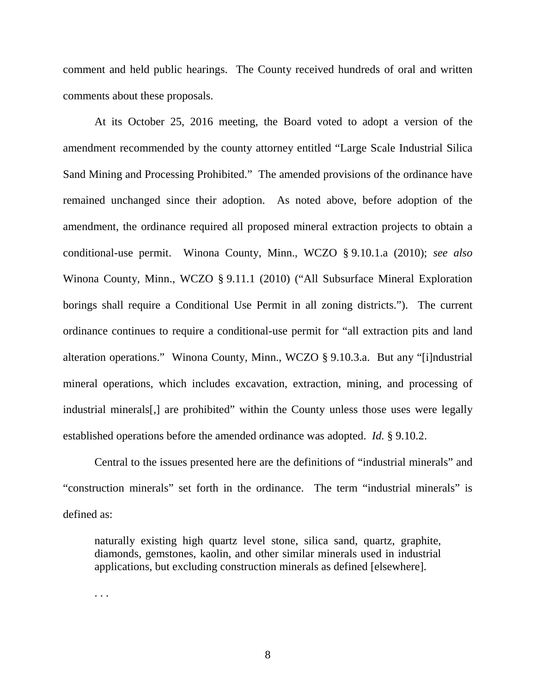comment and held public hearings. The County received hundreds of oral and written comments about these proposals.

At its October 25, 2016 meeting, the Board voted to adopt a version of the amendment recommended by the county attorney entitled "Large Scale Industrial Silica Sand Mining and Processing Prohibited." The amended provisions of the ordinance have remained unchanged since their adoption. As noted above, before adoption of the amendment, the ordinance required all proposed mineral extraction projects to obtain a conditional-use permit. Winona County, Minn., WCZO § 9.10.1.a (2010); *see also*  Winona County, Minn., WCZO § 9.11.1 (2010) ("All Subsurface Mineral Exploration borings shall require a Conditional Use Permit in all zoning districts."). The current ordinance continues to require a conditional-use permit for "all extraction pits and land alteration operations." Winona County, Minn., WCZO § 9.10.3.a. But any "[i]ndustrial mineral operations, which includes excavation, extraction, mining, and processing of industrial minerals[,] are prohibited" within the County unless those uses were legally established operations before the amended ordinance was adopted. *Id.* § 9.10.2.

Central to the issues presented here are the definitions of "industrial minerals" and "construction minerals" set forth in the ordinance. The term "industrial minerals" is defined as:

naturally existing high quartz level stone, silica sand, quartz, graphite, diamonds, gemstones, kaolin, and other similar minerals used in industrial applications, but excluding construction minerals as defined [elsewhere].

. . .

8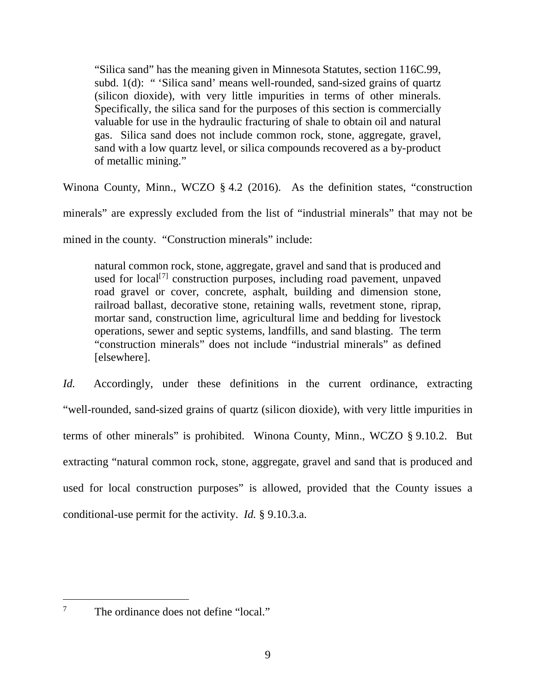"Silica sand" has the meaning given in Minnesota Statutes, section 116C.99, subd. 1(d): " 'Silica sand' means well-rounded, sand-sized grains of quartz (silicon dioxide), with very little impurities in terms of other minerals. Specifically, the silica sand for the purposes of this section is commercially valuable for use in the hydraulic fracturing of shale to obtain oil and natural gas. Silica sand does not include common rock, stone, aggregate, gravel, sand with a low quartz level, or silica compounds recovered as a by-product of metallic mining."

Winona County, Minn., WCZO § 4.2 (2016). As the definition states, "construction minerals" are expressly excluded from the list of "industrial minerals" that may not be mined in the county. "Construction minerals" include:

natural common rock, stone, aggregate, gravel and sand that is produced and used for local<sup>[[7](#page-8-0)]</sup> construction purposes, including road pavement, unpaved road gravel or cover, concrete, asphalt, building and dimension stone, railroad ballast, decorative stone, retaining walls, revetment stone, riprap, mortar sand, construction lime, agricultural lime and bedding for livestock operations, sewer and septic systems, landfills, and sand blasting. The term "construction minerals" does not include "industrial minerals" as defined [elsewhere].

*Id.* Accordingly, under these definitions in the current ordinance, extracting "well-rounded, sand-sized grains of quartz (silicon dioxide), with very little impurities in terms of other minerals" is prohibited. Winona County, Minn., WCZO § 9.10.2. But extracting "natural common rock, stone, aggregate, gravel and sand that is produced and used for local construction purposes" is allowed, provided that the County issues a conditional-use permit for the activity. *Id.* § 9.10.3.a.

<span id="page-8-0"></span><sup>&</sup>lt;sup>7</sup> The ordinance does not define "local."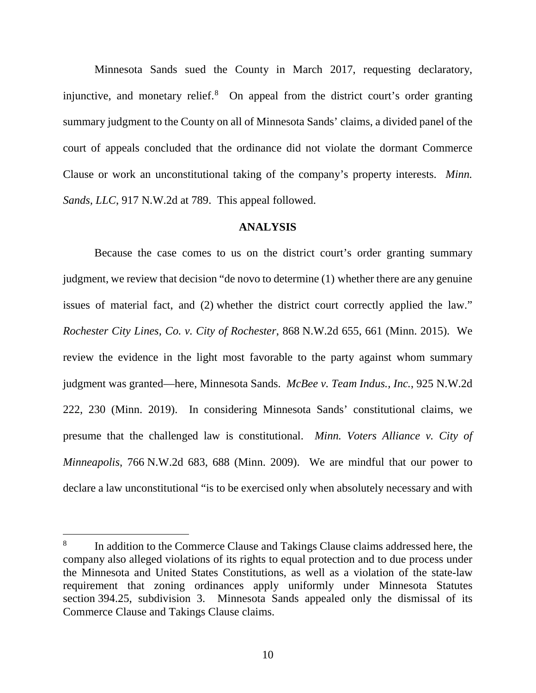Minnesota Sands sued the County in March 2017, requesting declaratory, injunctive, and monetary relief. [8](#page-9-0) On appeal from the district court's order granting summary judgment to the County on all of Minnesota Sands' claims, a divided panel of the court of appeals concluded that the ordinance did not violate the dormant Commerce Clause or work an unconstitutional taking of the company's property interests. *Minn. Sands, LLC*, 917 N.W.2d at 789. This appeal followed.

#### **ANALYSIS**

Because the case comes to us on the district court's order granting summary judgment, we review that decision "de novo to determine (1) whether there are any genuine issues of material fact, and (2) whether the district court correctly applied the law." *Rochester City Lines, Co. v. City of Rochester*, 868 N.W.2d 655, 661 (Minn. 2015). We review the evidence in the light most favorable to the party against whom summary judgment was granted—here, Minnesota Sands. *McBee v. Team Indus., Inc.*, 925 N.W.2d 222, 230 (Minn. 2019). In considering Minnesota Sands' constitutional claims, we presume that the challenged law is constitutional. *Minn. Voters Alliance v. City of Minneapolis*, 766 N.W.2d 683, 688 (Minn. 2009). We are mindful that our power to declare a law unconstitutional "is to be exercised only when absolutely necessary and with

<span id="page-9-0"></span> <sup>8</sup> In addition to the Commerce Clause and Takings Clause claims addressed here, the company also alleged violations of its rights to equal protection and to due process under the Minnesota and United States Constitutions, as well as a violation of the state-law requirement that zoning ordinances apply uniformly under Minnesota Statutes section 394.25, subdivision 3. Minnesota Sands appealed only the dismissal of its Commerce Clause and Takings Clause claims.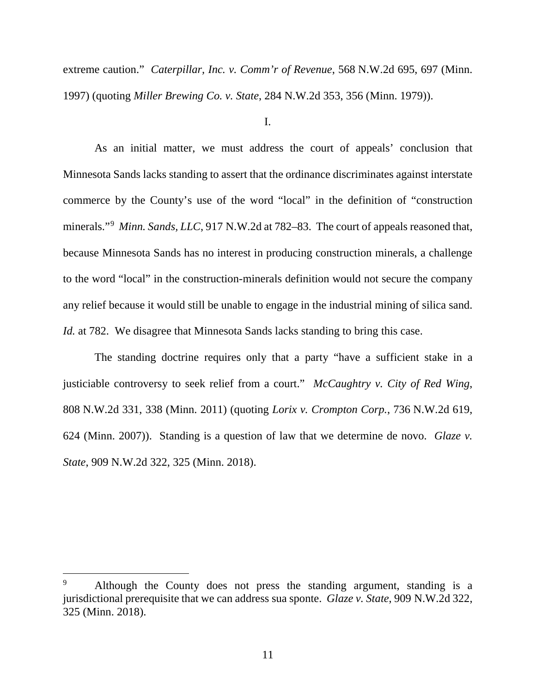extreme caution." *Caterpillar, Inc. v. Comm'r of Revenue*, 568 N.W.2d 695, 697 (Minn. 1997) (quoting *Miller Brewing Co. v. State*, 284 N.W.2d 353, 356 (Minn. 1979)).

I.

As an initial matter, we must address the court of appeals' conclusion that Minnesota Sands lacks standing to assert that the ordinance discriminates against interstate commerce by the County's use of the word "local" in the definition of "construction minerals."<sup>[9](#page-10-0)</sup> Minn. Sands, LLC, 917 N.W.2d at 782–83. The court of appeals reasoned that, because Minnesota Sands has no interest in producing construction minerals, a challenge to the word "local" in the construction-minerals definition would not secure the company any relief because it would still be unable to engage in the industrial mining of silica sand. *Id.* at 782. We disagree that Minnesota Sands lacks standing to bring this case.

The standing doctrine requires only that a party "have a sufficient stake in a justiciable controversy to seek relief from a court." *McCaughtry v. City of Red Wing*, 808 N.W.2d 331, 338 (Minn. 2011) (quoting *Lorix v. Crompton Corp.*, 736 N.W.2d 619, 624 (Minn. 2007)). Standing is a question of law that we determine de novo. *Glaze v. State*, 909 N.W.2d 322, 325 (Minn. 2018).

<span id="page-10-0"></span>Although the County does not press the standing argument, standing is a jurisdictional prerequisite that we can address sua sponte. *Glaze v. State*, 909 N.W.2d 322, 325 (Minn. 2018).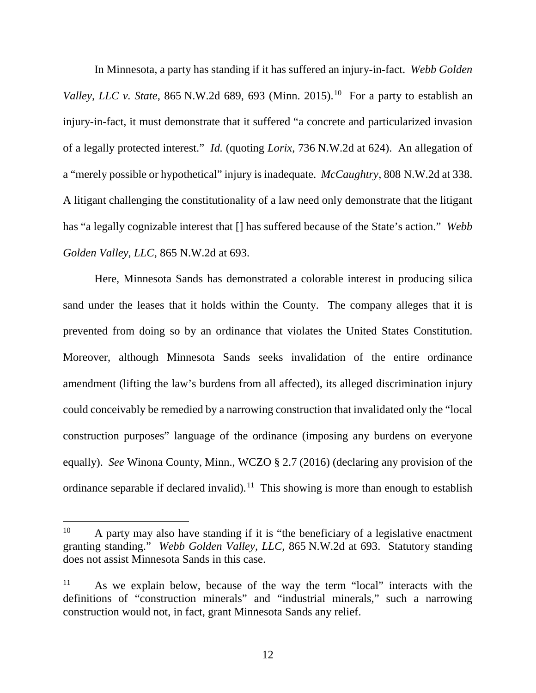In Minnesota, a party has standing if it has suffered an injury-in-fact. *Webb Golden Valley, LLC v. State, 865 N.W.2d 689, 693 (Minn. 2015).*<sup>[10](#page-11-0)</sup> For a party to establish an injury-in-fact, it must demonstrate that it suffered "a concrete and particularized invasion of a legally protected interest." *Id.* (quoting *Lorix*, 736 N.W.2d at 624). An allegation of a "merely possible or hypothetical" injury is inadequate. *McCaughtry*, 808 N.W.2d at 338. A litigant challenging the constitutionality of a law need only demonstrate that the litigant has "a legally cognizable interest that [] has suffered because of the State's action." *Webb Golden Valley, LLC*, 865 N.W.2d at 693.

Here, Minnesota Sands has demonstrated a colorable interest in producing silica sand under the leases that it holds within the County. The company alleges that it is prevented from doing so by an ordinance that violates the United States Constitution. Moreover, although Minnesota Sands seeks invalidation of the entire ordinance amendment (lifting the law's burdens from all affected), its alleged discrimination injury could conceivably be remedied by a narrowing construction that invalidated only the "local construction purposes" language of the ordinance (imposing any burdens on everyone equally). *See* Winona County, Minn., WCZO § 2.7 (2016) (declaring any provision of the ordinance separable if declared invalid).<sup>11</sup> This showing is more than enough to establish

<span id="page-11-0"></span> $10$  A party may also have standing if it is "the beneficiary of a legislative enactment granting standing." *Webb Golden Valley, LLC*, 865 N.W.2d at 693. Statutory standing does not assist Minnesota Sands in this case.

<span id="page-11-1"></span><sup>11</sup> As we explain below, because of the way the term "local" interacts with the definitions of "construction minerals" and "industrial minerals," such a narrowing construction would not, in fact, grant Minnesota Sands any relief.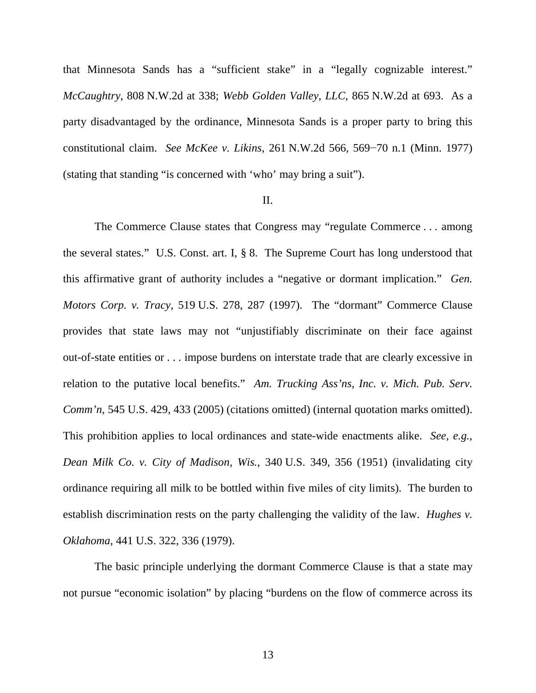that Minnesota Sands has a "sufficient stake" in a "legally cognizable interest." *McCaughtry*, 808 N.W.2d at 338; *Webb Golden Valley, LLC*, 865 N.W.2d at 693. As a party disadvantaged by the ordinance, Minnesota Sands is a proper party to bring this constitutional claim. *See McKee v. Likins*, 261 N.W.2d 566, 569−70 n.1 (Minn. 1977) (stating that standing "is concerned with 'who' may bring a suit").

#### II.

The Commerce Clause states that Congress may "regulate Commerce . . . among the several states." U.S. Const. art. I, § 8. The Supreme Court has long understood that this affirmative grant of authority includes a "negative or dormant implication." *Gen. Motors Corp. v. Tracy*, 519 U.S. 278, 287 (1997). The "dormant" Commerce Clause provides that state laws may not "unjustifiably discriminate on their face against out-of-state entities or . . . impose burdens on interstate trade that are clearly excessive in relation to the putative local benefits." *Am. Trucking Ass'ns, Inc. v. Mich. Pub. Serv. Comm'n*, 545 U.S. 429, 433 (2005) (citations omitted) (internal quotation marks omitted). This prohibition applies to local ordinances and state-wide enactments alike. *See, e.g.*, *Dean Milk Co. v. City of Madison, Wis.*, 340 U.S. 349, 356 (1951) (invalidating city ordinance requiring all milk to be bottled within five miles of city limits). The burden to establish discrimination rests on the party challenging the validity of the law. *Hughes v. Oklahoma*, 441 U.S. 322, 336 (1979).

The basic principle underlying the dormant Commerce Clause is that a state may not pursue "economic isolation" by placing "burdens on the flow of commerce across its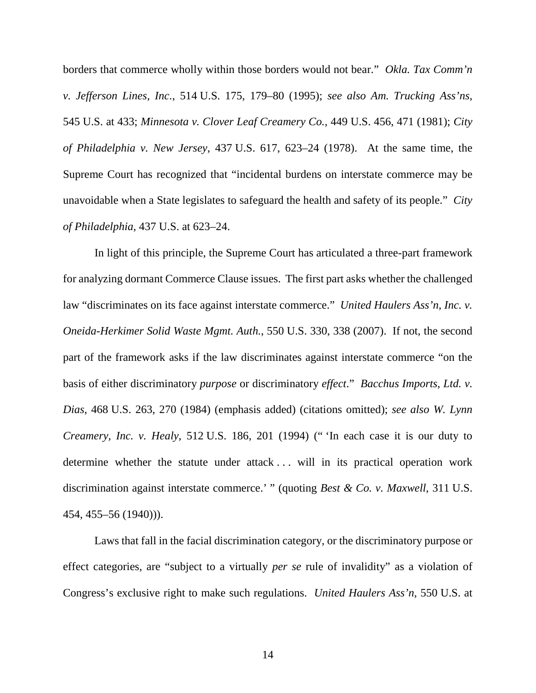borders that commerce wholly within those borders would not bear." *Okla. Tax Comm'n v. Jefferson Lines, Inc.*, 514 U.S. 175, 179–80 (1995); *see also Am. Trucking Ass'ns*, 545 U.S. at 433; *Minnesota v. Clover Leaf Creamery Co.*, 449 U.S. 456, 471 (1981); *City of Philadelphia v. New Jersey*, 437 U.S. 617, 623–24 (1978). At the same time, the Supreme Court has recognized that "incidental burdens on interstate commerce may be unavoidable when a State legislates to safeguard the health and safety of its people." *City of Philadelphia*, 437 U.S. at 623–24.

In light of this principle, the Supreme Court has articulated a three-part framework for analyzing dormant Commerce Clause issues. The first part asks whether the challenged law "discriminates on its face against interstate commerce." *United Haulers Ass'n, Inc. v. Oneida-Herkimer Solid Waste Mgmt. Auth.*, 550 U.S. 330, 338 (2007). If not, the second part of the framework asks if the law discriminates against interstate commerce "on the basis of either discriminatory *purpose* or discriminatory *effect*." *Bacchus Imports, Ltd. v. Dias*, 468 U.S. 263, 270 (1984) (emphasis added) (citations omitted); *see also W. Lynn Creamery, Inc. v. Healy*, 512 U.S. 186, 201 (1994) (" 'In each case it is our duty to determine whether the statute under attack . . . will in its practical operation work discrimination against interstate commerce.' " (quoting *Best & Co. v. Maxwell*, 311 U.S. 454, 455–56 (1940))).

Laws that fall in the facial discrimination category, or the discriminatory purpose or effect categories, are "subject to a virtually *per se* rule of invalidity" as a violation of Congress's exclusive right to make such regulations. *United Haulers Ass'n*, 550 U.S. at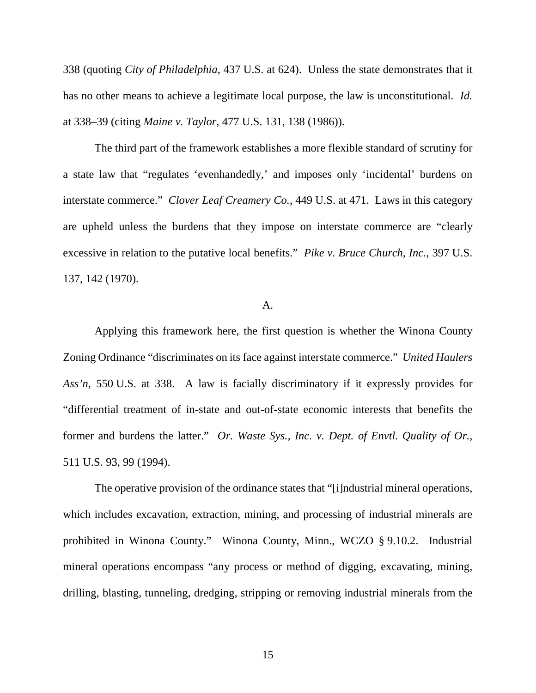338 (quoting *City of Philadelphia*, 437 U.S. at 624). Unless the state demonstrates that it has no other means to achieve a legitimate local purpose, the law is unconstitutional. *Id.* at 338–39 (citing *Maine v. Taylor*, 477 U.S. 131, 138 (1986)).

The third part of the framework establishes a more flexible standard of scrutiny for a state law that "regulates 'evenhandedly,' and imposes only 'incidental' burdens on interstate commerce." *Clover Leaf Creamery Co.*, 449 U.S. at 471. Laws in this category are upheld unless the burdens that they impose on interstate commerce are "clearly excessive in relation to the putative local benefits." *Pike v. Bruce Church, Inc.*, 397 U.S. 137, 142 (1970).

## A.

Applying this framework here, the first question is whether the Winona County Zoning Ordinance "discriminates on its face against interstate commerce." *United Haulers Ass'n*, 550 U.S. at 338. A law is facially discriminatory if it expressly provides for "differential treatment of in-state and out-of-state economic interests that benefits the former and burdens the latter." *Or. Waste Sys., Inc. v. Dept. of Envtl. Quality of Or.*, 511 U.S. 93, 99 (1994).

The operative provision of the ordinance states that "[i]ndustrial mineral operations, which includes excavation, extraction, mining, and processing of industrial minerals are prohibited in Winona County." Winona County, Minn., WCZO § 9.10.2. Industrial mineral operations encompass "any process or method of digging, excavating, mining, drilling, blasting, tunneling, dredging, stripping or removing industrial minerals from the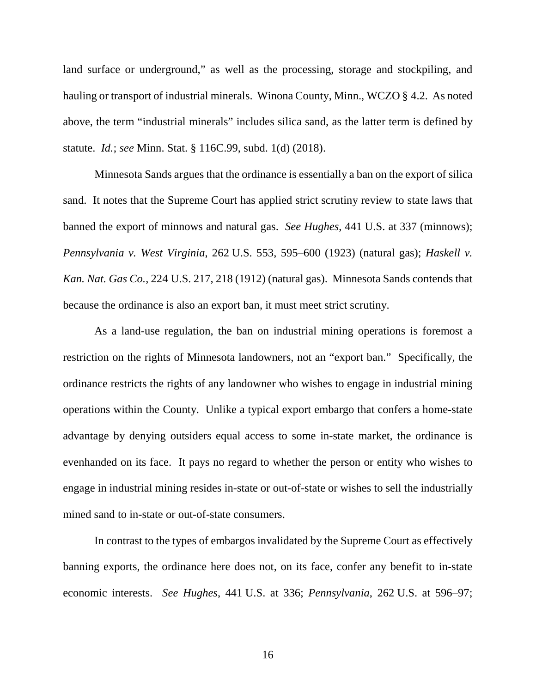land surface or underground," as well as the processing, storage and stockpiling, and hauling or transport of industrial minerals. Winona County, Minn., WCZO § 4.2. As noted above, the term "industrial minerals" includes silica sand, as the latter term is defined by statute. *Id.*; *see* Minn. Stat. § 116C.99, subd. 1(d) (2018).

Minnesota Sands argues that the ordinance is essentially a ban on the export of silica sand. It notes that the Supreme Court has applied strict scrutiny review to state laws that banned the export of minnows and natural gas. *See Hughes*, 441 U.S. at 337 (minnows); *Pennsylvania v. West Virginia*, 262 U.S. 553, 595–600 (1923) (natural gas); *Haskell v. Kan. Nat. Gas Co.*, 224 U.S. 217, 218 (1912) (natural gas). Minnesota Sands contends that because the ordinance is also an export ban, it must meet strict scrutiny.

As a land-use regulation, the ban on industrial mining operations is foremost a restriction on the rights of Minnesota landowners, not an "export ban." Specifically, the ordinance restricts the rights of any landowner who wishes to engage in industrial mining operations within the County. Unlike a typical export embargo that confers a home-state advantage by denying outsiders equal access to some in-state market, the ordinance is evenhanded on its face. It pays no regard to whether the person or entity who wishes to engage in industrial mining resides in-state or out-of-state or wishes to sell the industrially mined sand to in-state or out-of-state consumers.

In contrast to the types of embargos invalidated by the Supreme Court as effectively banning exports, the ordinance here does not, on its face, confer any benefit to in-state economic interests. *See Hughes*, 441 U.S. at 336; *Pennsylvania*, 262 U.S. at 596–97;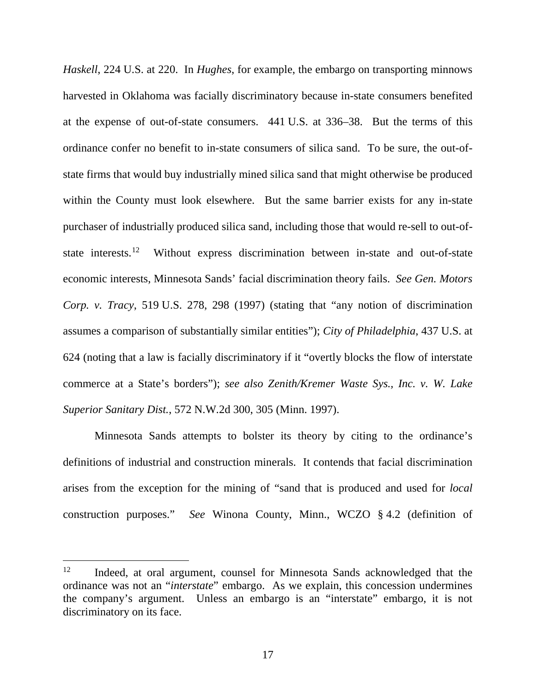*Haskell*, 224 U.S. at 220. In *Hughes*, for example, the embargo on transporting minnows harvested in Oklahoma was facially discriminatory because in-state consumers benefited at the expense of out-of-state consumers. 441 U.S. at 336–38. But the terms of this ordinance confer no benefit to in-state consumers of silica sand. To be sure, the out-ofstate firms that would buy industrially mined silica sand that might otherwise be produced within the County must look elsewhere. But the same barrier exists for any in-state purchaser of industrially produced silica sand, including those that would re-sell to out-of-state interests.<sup>[12](#page-16-0)</sup> Without express discrimination between in-state and out-of-state economic interests, Minnesota Sands' facial discrimination theory fails. *See Gen. Motors Corp. v. Tracy*, 519 U.S. 278, 298 (1997) (stating that "any notion of discrimination assumes a comparison of substantially similar entities"); *City of Philadelphia*, 437 U.S. at 624 (noting that a law is facially discriminatory if it "overtly blocks the flow of interstate commerce at a State's borders"); *see also Zenith/Kremer Waste Sys., Inc. v. W. Lake Superior Sanitary Dist.*, 572 N.W.2d 300, 305 (Minn. 1997).

Minnesota Sands attempts to bolster its theory by citing to the ordinance's definitions of industrial and construction minerals. It contends that facial discrimination arises from the exception for the mining of "sand that is produced and used for *local* construction purposes." *See* Winona County, Minn., WCZO § 4.2 (definition of

<span id="page-16-0"></span><sup>&</sup>lt;sup>12</sup> Indeed, at oral argument, counsel for Minnesota Sands acknowledged that the ordinance was not an "*interstate*" embargo. As we explain, this concession undermines the company's argument. Unless an embargo is an "interstate" embargo, it is not discriminatory on its face.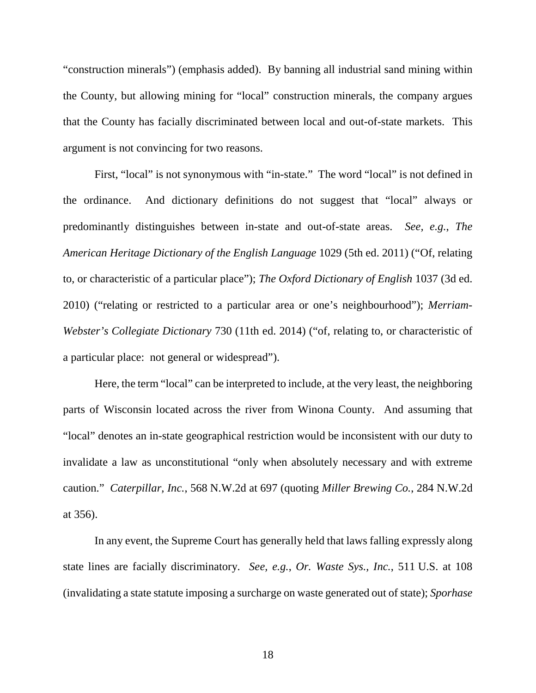"construction minerals") (emphasis added). By banning all industrial sand mining within the County, but allowing mining for "local" construction minerals, the company argues that the County has facially discriminated between local and out-of-state markets. This argument is not convincing for two reasons.

First, "local" is not synonymous with "in-state." The word "local" is not defined in the ordinance. And dictionary definitions do not suggest that "local" always or predominantly distinguishes between in-state and out-of-state areas. *See, e.g.*, *The American Heritage Dictionary of the English Language* 1029 (5th ed. 2011) ("Of, relating to, or characteristic of a particular place"); *The Oxford Dictionary of English* 1037 (3d ed. 2010) ("relating or restricted to a particular area or one's neighbourhood"); *Merriam-Webster's Collegiate Dictionary* 730 (11th ed. 2014) ("of, relating to, or characteristic of a particular place: not general or widespread").

Here, the term "local" can be interpreted to include, at the very least, the neighboring parts of Wisconsin located across the river from Winona County. And assuming that "local" denotes an in-state geographical restriction would be inconsistent with our duty to invalidate a law as unconstitutional "only when absolutely necessary and with extreme caution." *Caterpillar, Inc.*, 568 N.W.2d at 697 (quoting *Miller Brewing Co.*, 284 N.W.2d at 356).

In any event, the Supreme Court has generally held that laws falling expressly along state lines are facially discriminatory. *See, e.g.*, *Or. Waste Sys., Inc.*, 511 U.S. at 108 (invalidating a state statute imposing a surcharge on waste generated out of state); *Sporhase*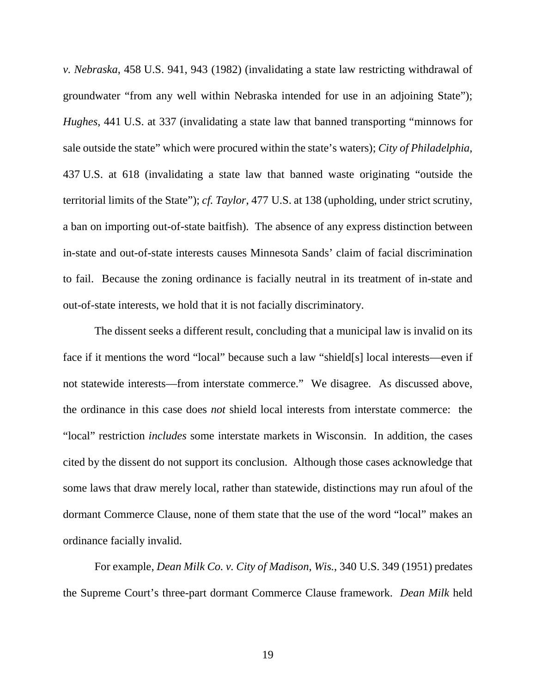*v. Nebraska*, 458 U.S. 941, 943 (1982) (invalidating a state law restricting withdrawal of groundwater "from any well within Nebraska intended for use in an adjoining State"); *Hughes*, 441 U.S. at 337 (invalidating a state law that banned transporting "minnows for sale outside the state" which were procured within the state's waters); *City of Philadelphia*, 437 U.S. at 618 (invalidating a state law that banned waste originating "outside the territorial limits of the State"); *cf. Taylor*, 477 U.S. at 138 (upholding, under strict scrutiny, a ban on importing out-of-state baitfish). The absence of any express distinction between in-state and out-of-state interests causes Minnesota Sands' claim of facial discrimination to fail. Because the zoning ordinance is facially neutral in its treatment of in-state and out-of-state interests, we hold that it is not facially discriminatory.

The dissent seeks a different result, concluding that a municipal law is invalid on its face if it mentions the word "local" because such a law "shield[s] local interests—even if not statewide interests—from interstate commerce." We disagree. As discussed above, the ordinance in this case does *not* shield local interests from interstate commerce: the "local" restriction *includes* some interstate markets in Wisconsin. In addition, the cases cited by the dissent do not support its conclusion. Although those cases acknowledge that some laws that draw merely local, rather than statewide, distinctions may run afoul of the dormant Commerce Clause, none of them state that the use of the word "local" makes an ordinance facially invalid.

For example, *Dean Milk Co. v. City of Madison*, *Wis.*, 340 U.S. 349 (1951) predates the Supreme Court's three-part dormant Commerce Clause framework. *Dean Milk* held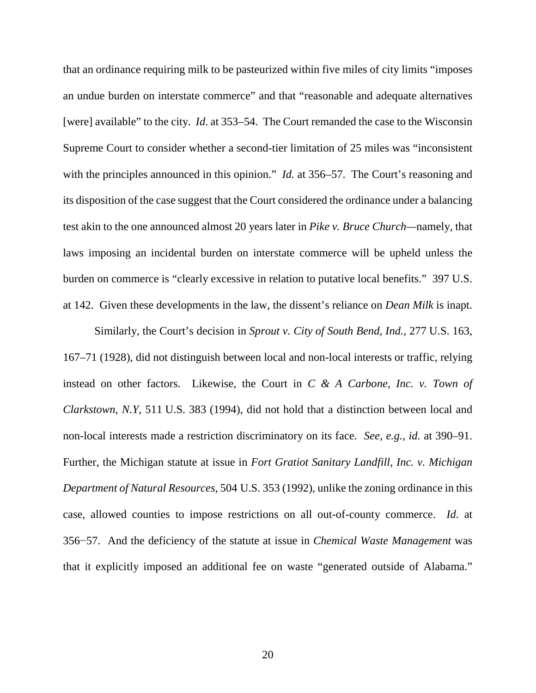that an ordinance requiring milk to be pasteurized within five miles of city limits "imposes an undue burden on interstate commerce" and that "reasonable and adequate alternatives [were] available" to the city. *Id.* at 353–54. The Court remanded the case to the Wisconsin Supreme Court to consider whether a second-tier limitation of 25 miles was "inconsistent with the principles announced in this opinion." *Id.* at 356–57. The Court's reasoning and its disposition of the case suggest that the Court considered the ordinance under a balancing test akin to the one announced almost 20 years later in *Pike v. Bruce Church—*namely, that laws imposing an incidental burden on interstate commerce will be upheld unless the burden on commerce is "clearly excessive in relation to putative local benefits." 397 U.S. at 142. Given these developments in the law, the dissent's reliance on *Dean Milk* is inapt.

Similarly, the Court's decision in *Sprout v. City of South Bend, Ind.*, 277 U.S. 163, 167–71 (1928), did not distinguish between local and non-local interests or traffic, relying instead on other factors. Likewise, the Court in *C & A Carbone, Inc. v. Town of Clarkstown, N.Y*, 511 U.S. 383 (1994), did not hold that a distinction between local and non-local interests made a restriction discriminatory on its face. *See, e.g.*, *id.* at 390–91. Further, the Michigan statute at issue in *Fort Gratiot Sanitary Landfill, Inc. v. Michigan Department of Natural Resources*, 504 U.S. 353 (1992), unlike the zoning ordinance in this case, allowed counties to impose restrictions on all out-of-county commerce. *Id*. at 356−57. And the deficiency of the statute at issue in *Chemical Waste Management* was that it explicitly imposed an additional fee on waste "generated outside of Alabama."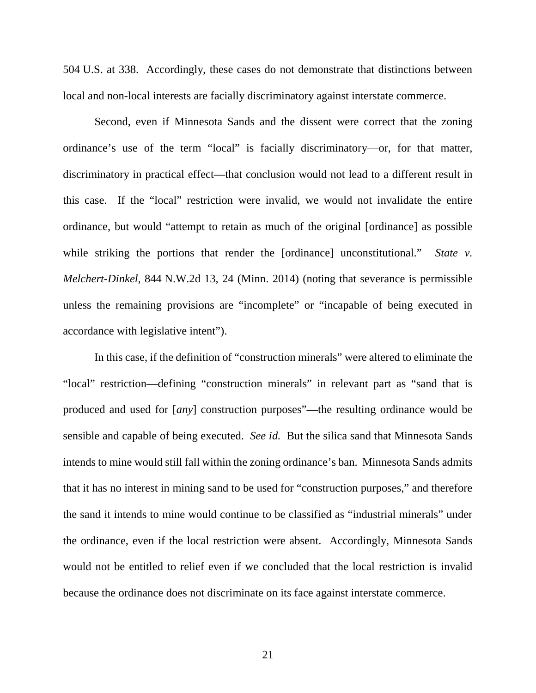504 U.S. at 338. Accordingly, these cases do not demonstrate that distinctions between local and non-local interests are facially discriminatory against interstate commerce.

Second, even if Minnesota Sands and the dissent were correct that the zoning ordinance's use of the term "local" is facially discriminatory—or, for that matter, discriminatory in practical effect—that conclusion would not lead to a different result in this case. If the "local" restriction were invalid, we would not invalidate the entire ordinance, but would "attempt to retain as much of the original [ordinance] as possible while striking the portions that render the [ordinance] unconstitutional." *State v. Melchert-Dinkel*, 844 N.W.2d 13, 24 (Minn. 2014) (noting that severance is permissible unless the remaining provisions are "incomplete" or "incapable of being executed in accordance with legislative intent").

In this case, if the definition of "construction minerals" were altered to eliminate the "local" restriction—defining "construction minerals" in relevant part as "sand that is produced and used for [*any*] construction purposes"—the resulting ordinance would be sensible and capable of being executed. *See id.* But the silica sand that Minnesota Sands intends to mine would still fall within the zoning ordinance's ban. Minnesota Sands admits that it has no interest in mining sand to be used for "construction purposes," and therefore the sand it intends to mine would continue to be classified as "industrial minerals" under the ordinance, even if the local restriction were absent. Accordingly, Minnesota Sands would not be entitled to relief even if we concluded that the local restriction is invalid because the ordinance does not discriminate on its face against interstate commerce.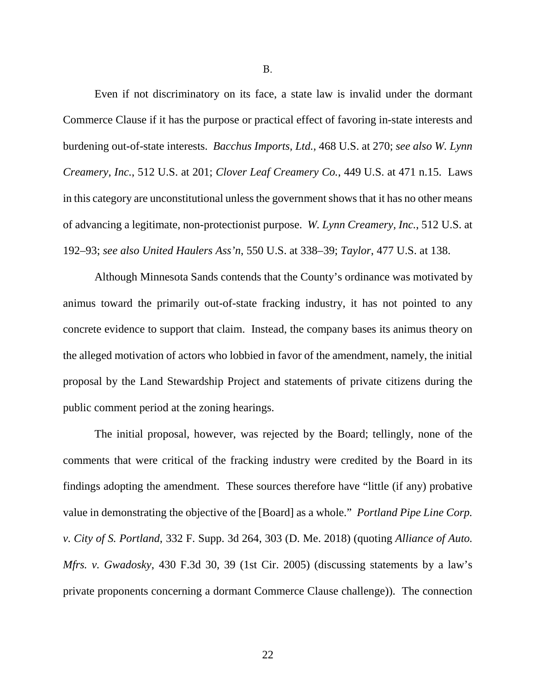B.

Even if not discriminatory on its face, a state law is invalid under the dormant Commerce Clause if it has the purpose or practical effect of favoring in-state interests and burdening out-of-state interests. *Bacchus Imports, Ltd.*, 468 U.S. at 270; *see also W. Lynn Creamery, Inc.*, 512 U.S. at 201; *Clover Leaf Creamery Co.*, 449 U.S. at 471 n.15. Laws in this category are unconstitutional unless the government shows that it has no other means of advancing a legitimate, non-protectionist purpose. *W. Lynn Creamery, Inc.*, 512 U.S. at 192–93; *see also United Haulers Ass'n*, 550 U.S. at 338–39; *Taylor*, 477 U.S. at 138.

Although Minnesota Sands contends that the County's ordinance was motivated by animus toward the primarily out-of-state fracking industry, it has not pointed to any concrete evidence to support that claim. Instead, the company bases its animus theory on the alleged motivation of actors who lobbied in favor of the amendment, namely, the initial proposal by the Land Stewardship Project and statements of private citizens during the public comment period at the zoning hearings.

The initial proposal, however, was rejected by the Board; tellingly, none of the comments that were critical of the fracking industry were credited by the Board in its findings adopting the amendment. These sources therefore have "little (if any) probative value in demonstrating the objective of the [Board] as a whole." *Portland Pipe Line Corp. v. City of S. Portland*, 332 F. Supp. 3d 264, 303 (D. Me. 2018) (quoting *Alliance of Auto. Mfrs. v. Gwadosky*, 430 F.3d 30, 39 (1st Cir. 2005) (discussing statements by a law's private proponents concerning a dormant Commerce Clause challenge)). The connection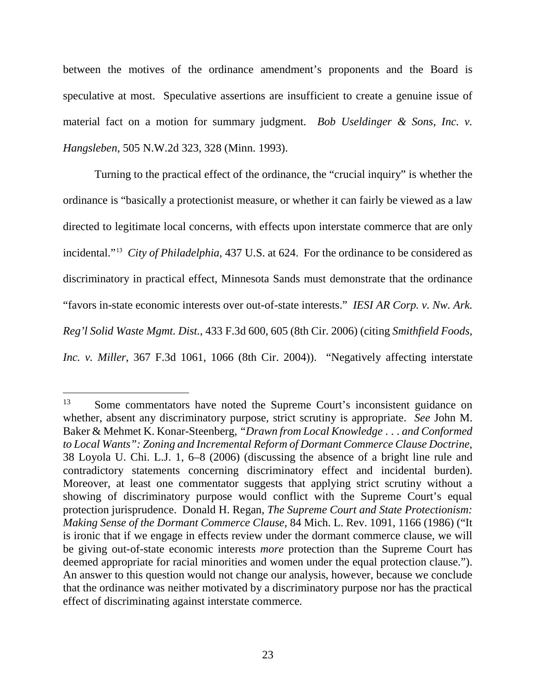between the motives of the ordinance amendment's proponents and the Board is speculative at most. Speculative assertions are insufficient to create a genuine issue of material fact on a motion for summary judgment. *Bob Useldinger & Sons, Inc. v. Hangsleben*, 505 N.W.2d 323, 328 (Minn. 1993).

Turning to the practical effect of the ordinance, the "crucial inquiry" is whether the ordinance is "basically a protectionist measure, or whether it can fairly be viewed as a law directed to legitimate local concerns, with effects upon interstate commerce that are only incidental."[13](#page-22-0) *City of Philadelphia*, 437 U.S. at 624. For the ordinance to be considered as discriminatory in practical effect, Minnesota Sands must demonstrate that the ordinance "favors in-state economic interests over out-of-state interests." *IESI AR Corp. v. Nw. Ark. Reg'l Solid Waste Mgmt. Dist.*, 433 F.3d 600, 605 (8th Cir. 2006) (citing *Smithfield Foods, Inc. v. Miller*, 367 F.3d 1061, 1066 (8th Cir. 2004)). "Negatively affecting interstate

<span id="page-22-0"></span><sup>&</sup>lt;sup>13</sup> Some commentators have noted the Supreme Court's inconsistent guidance on whether, absent any discriminatory purpose, strict scrutiny is appropriate. *See* John M. Baker & Mehmet K. Konar-Steenberg, *"Drawn from Local Knowledge . . . and Conformed to Local Wants": Zoning and Incremental Reform of Dormant Commerce Clause Doctrine*, 38 Loyola U. Chi. L.J. 1, 6–8 (2006) (discussing the absence of a bright line rule and contradictory statements concerning discriminatory effect and incidental burden). Moreover, at least one commentator suggests that applying strict scrutiny without a showing of discriminatory purpose would conflict with the Supreme Court's equal protection jurisprudence. Donald H. Regan, *The Supreme Court and State Protectionism: Making Sense of the Dormant Commerce Clause*, 84 Mich. L. Rev. 1091, 1166 (1986) ("It is ironic that if we engage in effects review under the dormant commerce clause, we will be giving out-of-state economic interests *more* protection than the Supreme Court has deemed appropriate for racial minorities and women under the equal protection clause."). An answer to this question would not change our analysis, however, because we conclude that the ordinance was neither motivated by a discriminatory purpose nor has the practical effect of discriminating against interstate commerce*.*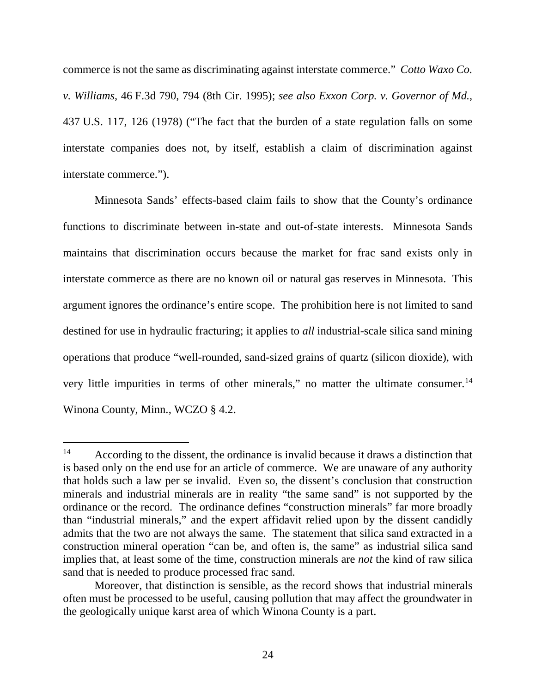commerce is not the same as discriminating against interstate commerce." *Cotto Waxo Co. v. Williams*, 46 F.3d 790, 794 (8th Cir. 1995); *see also Exxon Corp. v. Governor of Md.*, 437 U.S. 117, 126 (1978) ("The fact that the burden of a state regulation falls on some interstate companies does not, by itself, establish a claim of discrimination against interstate commerce.").

Minnesota Sands' effects-based claim fails to show that the County's ordinance functions to discriminate between in-state and out-of-state interests. Minnesota Sands maintains that discrimination occurs because the market for frac sand exists only in interstate commerce as there are no known oil or natural gas reserves in Minnesota. This argument ignores the ordinance's entire scope. The prohibition here is not limited to sand destined for use in hydraulic fracturing; it applies to *all* industrial-scale silica sand mining operations that produce "well-rounded, sand-sized grains of quartz (silicon dioxide), with very little impurities in terms of other minerals," no matter the ultimate consumer.<sup>[14](#page-23-0)</sup> Winona County, Minn., WCZO § 4.2.

<span id="page-23-0"></span><sup>&</sup>lt;sup>14</sup> According to the dissent, the ordinance is invalid because it draws a distinction that is based only on the end use for an article of commerce. We are unaware of any authority that holds such a law per se invalid. Even so, the dissent's conclusion that construction minerals and industrial minerals are in reality "the same sand" is not supported by the ordinance or the record. The ordinance defines "construction minerals" far more broadly than "industrial minerals," and the expert affidavit relied upon by the dissent candidly admits that the two are not always the same. The statement that silica sand extracted in a construction mineral operation "can be, and often is, the same" as industrial silica sand implies that, at least some of the time, construction minerals are *not* the kind of raw silica sand that is needed to produce processed frac sand.

Moreover, that distinction is sensible, as the record shows that industrial minerals often must be processed to be useful, causing pollution that may affect the groundwater in the geologically unique karst area of which Winona County is a part.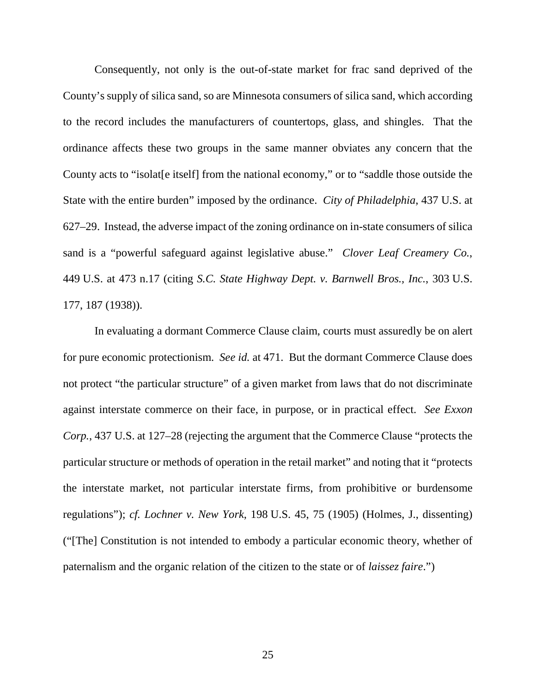Consequently, not only is the out-of-state market for frac sand deprived of the County's supply of silica sand, so are Minnesota consumers of silica sand, which according to the record includes the manufacturers of countertops, glass, and shingles. That the ordinance affects these two groups in the same manner obviates any concern that the County acts to "isolat[e itself] from the national economy," or to "saddle those outside the State with the entire burden" imposed by the ordinance. *City of Philadelphia*, 437 U.S. at 627–29. Instead, the adverse impact of the zoning ordinance on in-state consumers of silica sand is a "powerful safeguard against legislative abuse." *Clover Leaf Creamery Co.*, 449 U.S. at 473 n.17 (citing *S.C. State Highway Dept. v. Barnwell Bros., Inc.*, 303 U.S. 177, 187 (1938)).

In evaluating a dormant Commerce Clause claim, courts must assuredly be on alert for pure economic protectionism. *See id.* at 471. But the dormant Commerce Clause does not protect "the particular structure" of a given market from laws that do not discriminate against interstate commerce on their face, in purpose, or in practical effect. *See Exxon Corp.*, 437 U.S. at 127–28 (rejecting the argument that the Commerce Clause "protects the particular structure or methods of operation in the retail market" and noting that it "protects the interstate market, not particular interstate firms, from prohibitive or burdensome regulations"); *cf. Lochner v. New York*, 198 U.S. 45, 75 (1905) (Holmes, J., dissenting) ("[The] Constitution is not intended to embody a particular economic theory, whether of paternalism and the organic relation of the citizen to the state or of *laissez faire*.")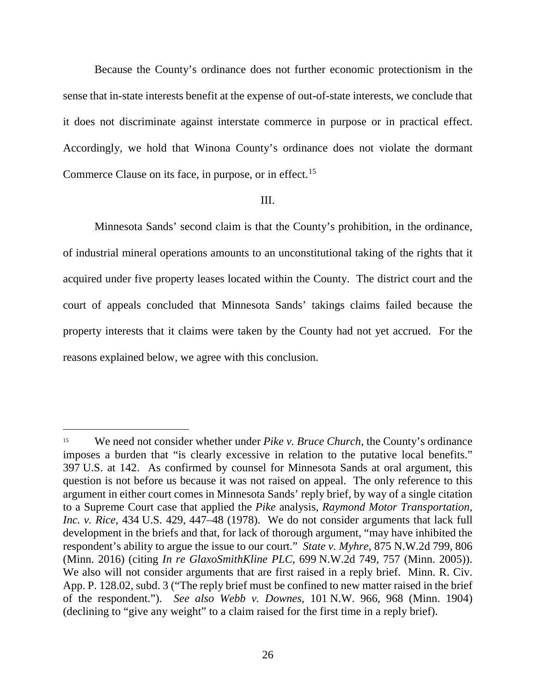Because the County's ordinance does not further economic protectionism in the sense that in-state interests benefit at the expense of out-of-state interests, we conclude that it does not discriminate against interstate commerce in purpose or in practical effect. Accordingly, we hold that Winona County's ordinance does not violate the dormant Commerce Clause on its face, in purpose, or in effect.<sup>[15](#page-25-0)</sup>

#### III.

Minnesota Sands' second claim is that the County's prohibition, in the ordinance, of industrial mineral operations amounts to an unconstitutional taking of the rights that it acquired under five property leases located within the County. The district court and the court of appeals concluded that Minnesota Sands' takings claims failed because the property interests that it claims were taken by the County had not yet accrued. For the reasons explained below, we agree with this conclusion.

<span id="page-25-0"></span><sup>&</sup>lt;sup>15</sup> We need not consider whether under *Pike v. Bruce Church*, the County's ordinance imposes a burden that "is clearly excessive in relation to the putative local benefits." 397 U.S. at 142. As confirmed by counsel for Minnesota Sands at oral argument, this question is not before us because it was not raised on appeal. The only reference to this argument in either court comes in Minnesota Sands' reply brief, by way of a single citation to a Supreme Court case that applied the *Pike* analysis, *Raymond Motor Transportation, Inc. v. Rice*, 434 U.S. 429, 447–48 (1978). We do not consider arguments that lack full development in the briefs and that, for lack of thorough argument, "may have inhibited the respondent's ability to argue the issue to our court." *State v. Myhre*, 875 N.W.2d 799, 806 (Minn. 2016) (citing *In re GlaxoSmithKline PLC*, 699 N.W.2d 749, 757 (Minn. 2005)). We also will not consider arguments that are first raised in a reply brief. Minn. R. Civ. App. P. 128.02, subd. 3 ("The reply brief must be confined to new matter raised in the brief of the respondent."). *See also Webb v. Downes*, 101 N.W. 966, 968 (Minn. 1904) (declining to "give any weight" to a claim raised for the first time in a reply brief).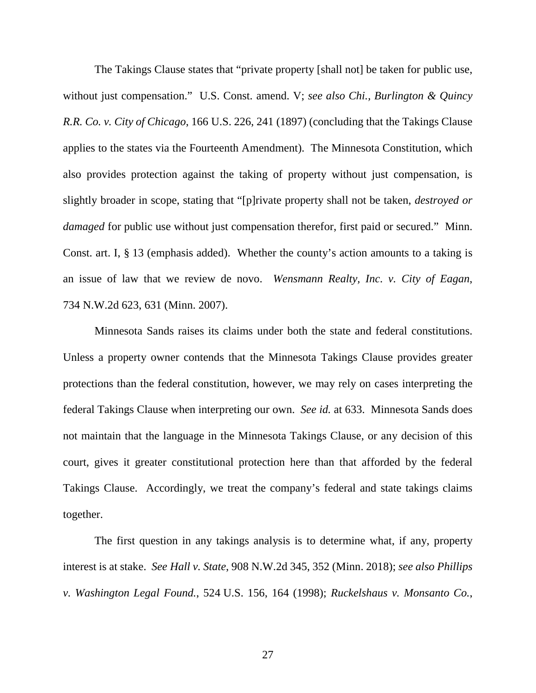The Takings Clause states that "private property [shall not] be taken for public use, without just compensation." U.S. Const. amend. V; *see also Chi., Burlington & Quincy R.R. Co. v. City of Chicago*, 166 U.S. 226, 241 (1897) (concluding that the Takings Clause applies to the states via the Fourteenth Amendment). The Minnesota Constitution, which also provides protection against the taking of property without just compensation, is slightly broader in scope, stating that "[p]rivate property shall not be taken, *destroyed or damaged* for public use without just compensation therefor, first paid or secured." Minn. Const. art. I, § 13 (emphasis added). Whether the county's action amounts to a taking is an issue of law that we review de novo. *Wensmann Realty, Inc. v. City of Eagan*, 734 N.W.2d 623, 631 (Minn. 2007).

Minnesota Sands raises its claims under both the state and federal constitutions. Unless a property owner contends that the Minnesota Takings Clause provides greater protections than the federal constitution, however, we may rely on cases interpreting the federal Takings Clause when interpreting our own. *See id.* at 633. Minnesota Sands does not maintain that the language in the Minnesota Takings Clause, or any decision of this court, gives it greater constitutional protection here than that afforded by the federal Takings Clause. Accordingly, we treat the company's federal and state takings claims together.

The first question in any takings analysis is to determine what, if any, property interest is at stake. *See Hall v. State*, 908 N.W.2d 345, 352 (Minn. 2018); *see also Phillips v. Washington Legal Found.*, 524 U.S. 156, 164 (1998); *Ruckelshaus v. Monsanto Co.*,

27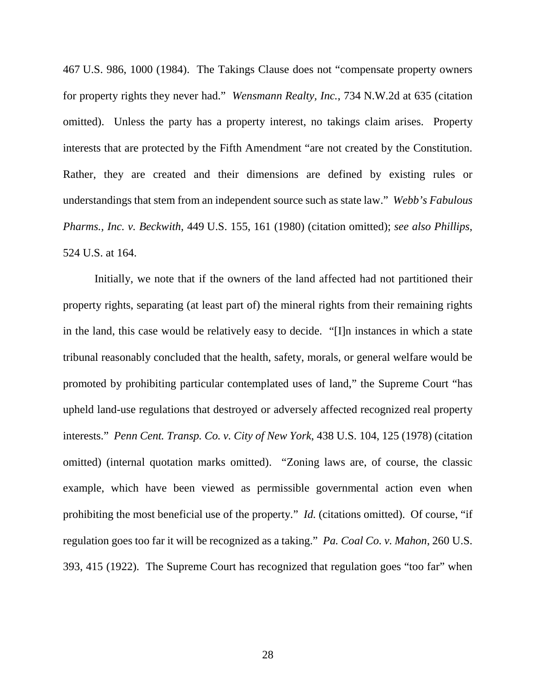467 U.S. 986, 1000 (1984). The Takings Clause does not "compensate property owners for property rights they never had." *Wensmann Realty, Inc.*, 734 N.W.2d at 635 (citation omitted). Unless the party has a property interest, no takings claim arises. Property interests that are protected by the Fifth Amendment "are not created by the Constitution. Rather, they are created and their dimensions are defined by existing rules or understandings that stem from an independent source such as state law." *Webb's Fabulous Pharms., Inc. v. Beckwith*, 449 U.S. 155, 161 (1980) (citation omitted); *see also Phillips*, 524 U.S. at 164.

Initially, we note that if the owners of the land affected had not partitioned their property rights, separating (at least part of) the mineral rights from their remaining rights in the land, this case would be relatively easy to decide. "[I]n instances in which a state tribunal reasonably concluded that the health, safety, morals, or general welfare would be promoted by prohibiting particular contemplated uses of land," the Supreme Court "has upheld land-use regulations that destroyed or adversely affected recognized real property interests." *Penn Cent. Transp. Co. v. City of New York*, 438 U.S. 104, 125 (1978) (citation omitted) (internal quotation marks omitted). "Zoning laws are, of course, the classic example, which have been viewed as permissible governmental action even when prohibiting the most beneficial use of the property." *Id.* (citations omitted). Of course, "if regulation goes too far it will be recognized as a taking." *Pa. Coal Co. v. Mahon*, 260 U.S. 393, 415 (1922). The Supreme Court has recognized that regulation goes "too far" when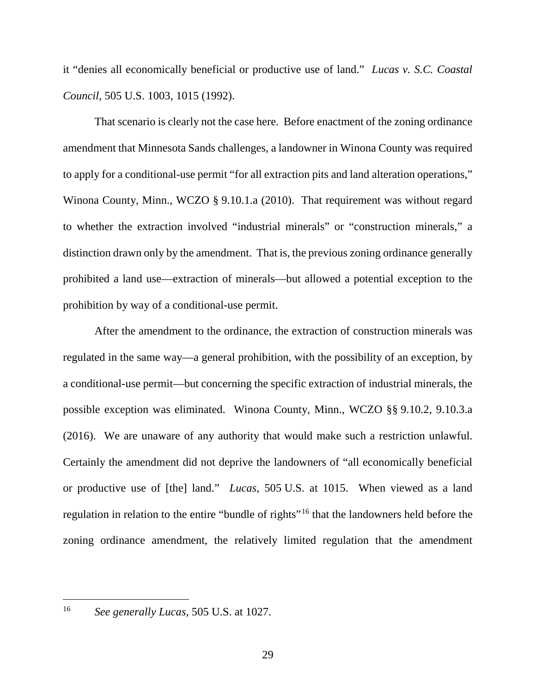it "denies all economically beneficial or productive use of land." *Lucas v. S.C. Coastal Council*, 505 U.S. 1003, 1015 (1992).

That scenario is clearly not the case here. Before enactment of the zoning ordinance amendment that Minnesota Sands challenges, a landowner in Winona County was required to apply for a conditional-use permit "for all extraction pits and land alteration operations," Winona County, Minn., WCZO § 9.10.1.a (2010). That requirement was without regard to whether the extraction involved "industrial minerals" or "construction minerals," a distinction drawn only by the amendment. That is, the previous zoning ordinance generally prohibited a land use—extraction of minerals—but allowed a potential exception to the prohibition by way of a conditional-use permit.

After the amendment to the ordinance, the extraction of construction minerals was regulated in the same way—a general prohibition, with the possibility of an exception, by a conditional-use permit—but concerning the specific extraction of industrial minerals, the possible exception was eliminated. Winona County, Minn., WCZO §§ 9.10.2, 9.10.3.a (2016). We are unaware of any authority that would make such a restriction unlawful. Certainly the amendment did not deprive the landowners of "all economically beneficial or productive use of [the] land." *Lucas*, 505 U.S. at 1015. When viewed as a land regulation in relation to the entire "bundle of rights"<sup>[16](#page-28-0)</sup> that the landowners held before the zoning ordinance amendment, the relatively limited regulation that the amendment

<span id="page-28-0"></span> <sup>16</sup> *See generally Lucas*, 505 U.S. at 1027.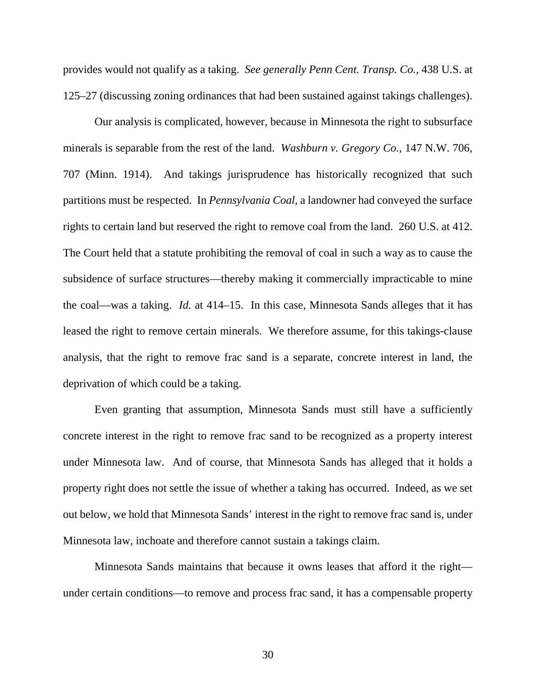provides would not qualify as a taking. *See generally Penn Cent. Transp. Co.*, 438 U.S. at 125–27 (discussing zoning ordinances that had been sustained against takings challenges).

Our analysis is complicated, however, because in Minnesota the right to subsurface minerals is separable from the rest of the land. *Washburn v. Gregory Co.*, 147 N.W. 706, 707 (Minn. 1914). And takings jurisprudence has historically recognized that such partitions must be respected. In *Pennsylvania Coal*, a landowner had conveyed the surface rights to certain land but reserved the right to remove coal from the land. 260 U.S. at 412. The Court held that a statute prohibiting the removal of coal in such a way as to cause the subsidence of surface structures—thereby making it commercially impracticable to mine the coal—was a taking. *Id.* at 414–15. In this case, Minnesota Sands alleges that it has leased the right to remove certain minerals. We therefore assume, for this takings-clause analysis, that the right to remove frac sand is a separate, concrete interest in land, the deprivation of which could be a taking.

Even granting that assumption, Minnesota Sands must still have a sufficiently concrete interest in the right to remove frac sand to be recognized as a property interest under Minnesota law. And of course, that Minnesota Sands has alleged that it holds a property right does not settle the issue of whether a taking has occurred. Indeed, as we set out below, we hold that Minnesota Sands' interest in the right to remove frac sand is, under Minnesota law, inchoate and therefore cannot sustain a takings claim.

Minnesota Sands maintains that because it owns leases that afford it the right under certain conditions—to remove and process frac sand, it has a compensable property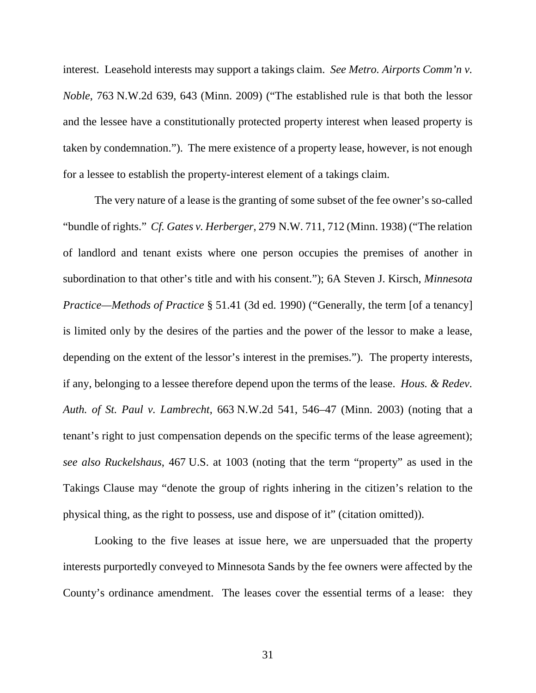interest. Leasehold interests may support a takings claim. *See Metro. Airports Comm'n v. Noble*, 763 N.W.2d 639, 643 (Minn. 2009) ("The established rule is that both the lessor and the lessee have a constitutionally protected property interest when leased property is taken by condemnation."). The mere existence of a property lease, however, is not enough for a lessee to establish the property-interest element of a takings claim.

The very nature of a lease is the granting of some subset of the fee owner's so-called "bundle of rights." *Cf. Gates v. Herberger*, 279 N.W. 711, 712 (Minn. 1938) ("The relation of landlord and tenant exists where one person occupies the premises of another in subordination to that other's title and with his consent."); 6A Steven J. Kirsch, *Minnesota Practice—Methods of Practice* § 51.41 (3d ed. 1990) ("Generally, the term [of a tenancy] is limited only by the desires of the parties and the power of the lessor to make a lease, depending on the extent of the lessor's interest in the premises."). The property interests, if any, belonging to a lessee therefore depend upon the terms of the lease. *Hous. & Redev. Auth. of St. Paul v. Lambrecht*, 663 N.W.2d 541, 546–47 (Minn. 2003) (noting that a tenant's right to just compensation depends on the specific terms of the lease agreement); *see also Ruckelshaus*, 467 U.S. at 1003 (noting that the term "property" as used in the Takings Clause may "denote the group of rights inhering in the citizen's relation to the physical thing, as the right to possess, use and dispose of it" (citation omitted)).

Looking to the five leases at issue here, we are unpersuaded that the property interests purportedly conveyed to Minnesota Sands by the fee owners were affected by the County's ordinance amendment. The leases cover the essential terms of a lease: they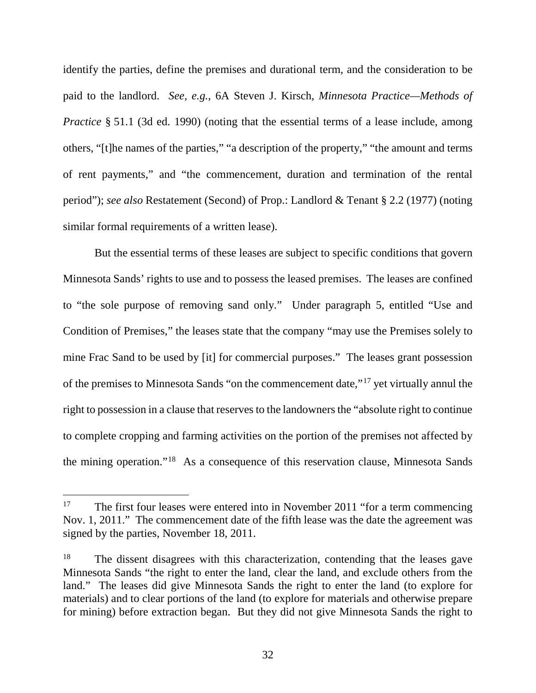identify the parties, define the premises and durational term, and the consideration to be paid to the landlord. *See, e.g.*, 6A Steven J. Kirsch, *Minnesota Practice—Methods of Practice* § 51.1 (3d ed. 1990) (noting that the essential terms of a lease include, among others, "[t]he names of the parties," "a description of the property," "the amount and terms of rent payments," and "the commencement, duration and termination of the rental period"); *see also* Restatement (Second) of Prop.: Landlord & Tenant § 2.2 (1977) (noting similar formal requirements of a written lease).

But the essential terms of these leases are subject to specific conditions that govern Minnesota Sands' rights to use and to possess the leased premises. The leases are confined to "the sole purpose of removing sand only." Under paragraph 5, entitled "Use and Condition of Premises," the leases state that the company "may use the Premises solely to mine Frac Sand to be used by [it] for commercial purposes." The leases grant possession of the premises to Minnesota Sands "on the commencement date,"[17](#page-31-0) yet virtually annul the right to possession in a clause that reserves to the landowners the "absolute right to continue to complete cropping and farming activities on the portion of the premises not affected by the mining operation."[18](#page-31-1) As a consequence of this reservation clause, Minnesota Sands

<span id="page-31-0"></span><sup>&</sup>lt;sup>17</sup> The first four leases were entered into in November 2011 "for a term commencing Nov. 1, 2011." The commencement date of the fifth lease was the date the agreement was signed by the parties, November 18, 2011.

<span id="page-31-1"></span><sup>&</sup>lt;sup>18</sup> The dissent disagrees with this characterization, contending that the leases gave Minnesota Sands "the right to enter the land, clear the land, and exclude others from the land." The leases did give Minnesota Sands the right to enter the land (to explore for materials) and to clear portions of the land (to explore for materials and otherwise prepare for mining) before extraction began. But they did not give Minnesota Sands the right to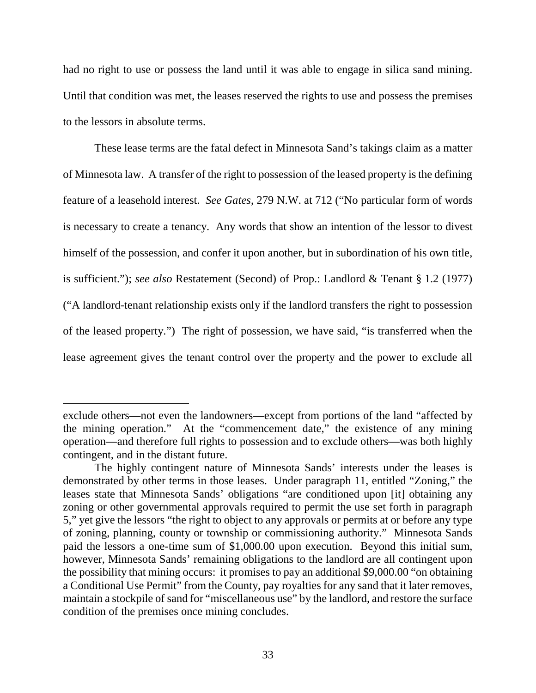had no right to use or possess the land until it was able to engage in silica sand mining. Until that condition was met, the leases reserved the rights to use and possess the premises to the lessors in absolute terms.

These lease terms are the fatal defect in Minnesota Sand's takings claim as a matter of Minnesota law. A transfer of the right to possession of the leased property is the defining feature of a leasehold interest. *See Gates*, 279 N.W. at 712 ("No particular form of words is necessary to create a tenancy. Any words that show an intention of the lessor to divest himself of the possession, and confer it upon another, but in subordination of his own title, is sufficient."); *see also* Restatement (Second) of Prop.: Landlord & Tenant § 1.2 (1977) ("A landlord-tenant relationship exists only if the landlord transfers the right to possession of the leased property.") The right of possession, we have said, "is transferred when the lease agreement gives the tenant control over the property and the power to exclude all

 $\overline{a}$ 

exclude others—not even the landowners—except from portions of the land "affected by the mining operation." At the "commencement date," the existence of any mining operation—and therefore full rights to possession and to exclude others—was both highly contingent, and in the distant future.

The highly contingent nature of Minnesota Sands' interests under the leases is demonstrated by other terms in those leases. Under paragraph 11, entitled "Zoning," the leases state that Minnesota Sands' obligations "are conditioned upon [it] obtaining any zoning or other governmental approvals required to permit the use set forth in paragraph 5," yet give the lessors "the right to object to any approvals or permits at or before any type of zoning, planning, county or township or commissioning authority." Minnesota Sands paid the lessors a one-time sum of \$1,000.00 upon execution. Beyond this initial sum, however, Minnesota Sands' remaining obligations to the landlord are all contingent upon the possibility that mining occurs: it promises to pay an additional \$9,000.00 "on obtaining a Conditional Use Permit" from the County, pay royalties for any sand that it later removes, maintain a stockpile of sand for "miscellaneous use" by the landlord, and restore the surface condition of the premises once mining concludes.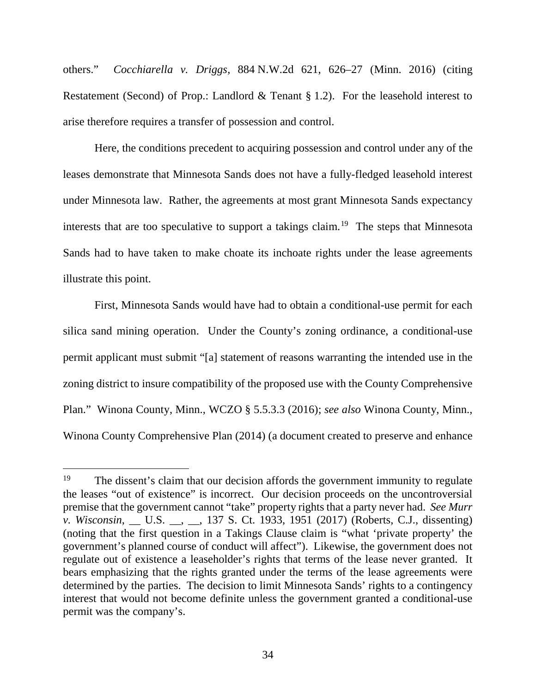others." *Cocchiarella v. Driggs*, 884 N.W.2d 621, 626–27 (Minn. 2016) (citing Restatement (Second) of Prop.: Landlord & Tenant § 1.2). For the leasehold interest to arise therefore requires a transfer of possession and control.

Here, the conditions precedent to acquiring possession and control under any of the leases demonstrate that Minnesota Sands does not have a fully-fledged leasehold interest under Minnesota law. Rather, the agreements at most grant Minnesota Sands expectancy interests that are too speculative to support a takings claim.<sup>[19](#page-33-0)</sup> The steps that Minnesota Sands had to have taken to make choate its inchoate rights under the lease agreements illustrate this point.

First, Minnesota Sands would have had to obtain a conditional-use permit for each silica sand mining operation. Under the County's zoning ordinance, a conditional-use permit applicant must submit "[a] statement of reasons warranting the intended use in the zoning district to insure compatibility of the proposed use with the County Comprehensive Plan." Winona County, Minn., WCZO § 5.5.3.3 (2016); *see also* Winona County, Minn., Winona County Comprehensive Plan (2014) (a document created to preserve and enhance

<span id="page-33-0"></span><sup>&</sup>lt;sup>19</sup> The dissent's claim that our decision affords the government immunity to regulate the leases "out of existence" is incorrect. Our decision proceeds on the uncontroversial premise that the government cannot "take" property rights that a party never had. *See Murr v. Wisconsin*, \_\_ U.S. \_\_, \_\_, 137 S. Ct. 1933, 1951 (2017) (Roberts, C.J., dissenting) (noting that the first question in a Takings Clause claim is "what 'private property' the government's planned course of conduct will affect"). Likewise, the government does not regulate out of existence a leaseholder's rights that terms of the lease never granted. It bears emphasizing that the rights granted under the terms of the lease agreements were determined by the parties. The decision to limit Minnesota Sands' rights to a contingency interest that would not become definite unless the government granted a conditional-use permit was the company's.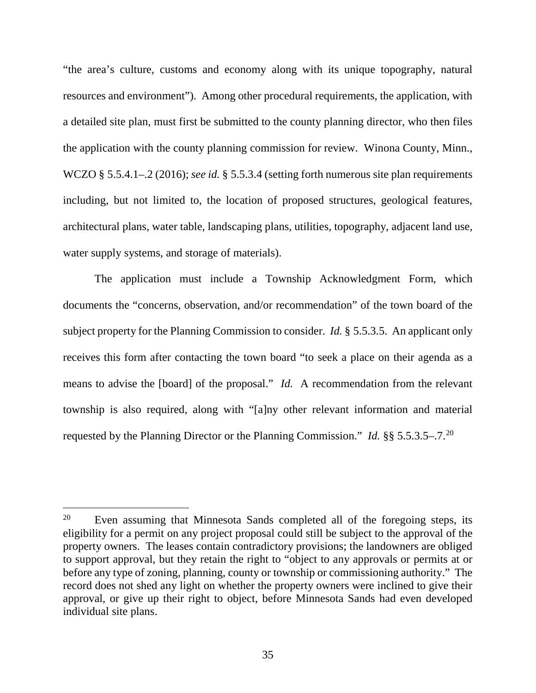"the area's culture, customs and economy along with its unique topography, natural resources and environment"). Among other procedural requirements, the application, with a detailed site plan, must first be submitted to the county planning director, who then files the application with the county planning commission for review. Winona County, Minn., WCZO § 5.5.4.1–.2 (2016); *see id.* § 5.5.3.4 (setting forth numerous site plan requirements including, but not limited to, the location of proposed structures, geological features, architectural plans, water table, landscaping plans, utilities, topography, adjacent land use, water supply systems, and storage of materials).

The application must include a Township Acknowledgment Form, which documents the "concerns, observation, and/or recommendation" of the town board of the subject property for the Planning Commission to consider. *Id.* § 5.5.3.5. An applicant only receives this form after contacting the town board "to seek a place on their agenda as a means to advise the [board] of the proposal." *Id.* A recommendation from the relevant township is also required, along with "[a]ny other relevant information and material requested by the Planning Director or the Planning Commission." *Id.* §§ 5.5.3.5–.7.[20](#page-34-0)

<span id="page-34-0"></span><sup>&</sup>lt;sup>20</sup> Even assuming that Minnesota Sands completed all of the foregoing steps, its eligibility for a permit on any project proposal could still be subject to the approval of the property owners. The leases contain contradictory provisions; the landowners are obliged to support approval, but they retain the right to "object to any approvals or permits at or before any type of zoning, planning, county or township or commissioning authority." The record does not shed any light on whether the property owners were inclined to give their approval, or give up their right to object, before Minnesota Sands had even developed individual site plans.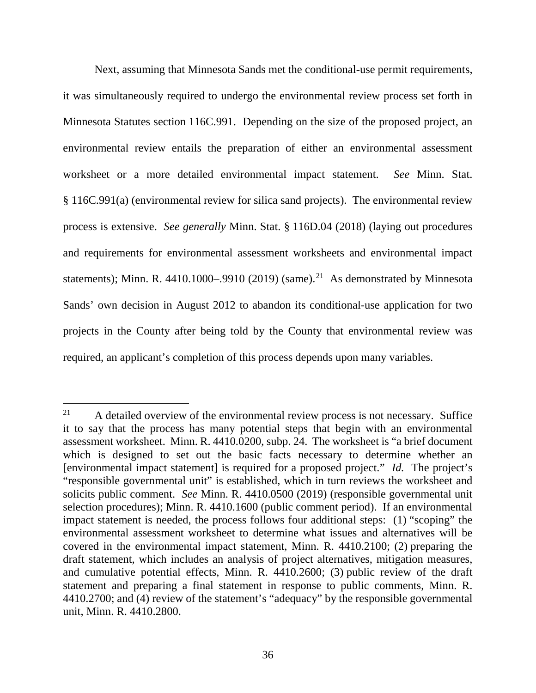Next, assuming that Minnesota Sands met the conditional-use permit requirements, it was simultaneously required to undergo the environmental review process set forth in Minnesota Statutes section 116C.991. Depending on the size of the proposed project, an environmental review entails the preparation of either an environmental assessment worksheet or a more detailed environmental impact statement. *See* Minn. Stat. § 116C.991(a) (environmental review for silica sand projects). The environmental review process is extensive. *See generally* Minn. Stat. § 116D.04 (2018) (laying out procedures and requirements for environmental assessment worksheets and environmental impact statements); Minn. R. 4410.1000–.9910 (2019) (same).<sup>21</sup> As demonstrated by Minnesota Sands' own decision in August 2012 to abandon its conditional-use application for two projects in the County after being told by the County that environmental review was required, an applicant's completion of this process depends upon many variables.

<span id="page-35-0"></span><sup>&</sup>lt;sup>21</sup> A detailed overview of the environmental review process is not necessary. Suffice it to say that the process has many potential steps that begin with an environmental assessment worksheet. Minn. R. 4410.0200, subp. 24. The worksheet is "a brief document which is designed to set out the basic facts necessary to determine whether an [environmental impact statement] is required for a proposed project." *Id.* The project's "responsible governmental unit" is established, which in turn reviews the worksheet and solicits public comment. *See* Minn. R. 4410.0500 (2019) (responsible governmental unit selection procedures); Minn. R. 4410.1600 (public comment period). If an environmental impact statement is needed, the process follows four additional steps: (1) "scoping" the environmental assessment worksheet to determine what issues and alternatives will be covered in the environmental impact statement, Minn. R. 4410.2100; (2) preparing the draft statement, which includes an analysis of project alternatives, mitigation measures, and cumulative potential effects, Minn. R. 4410.2600; (3) public review of the draft statement and preparing a final statement in response to public comments, Minn. R. 4410.2700; and (4) review of the statement's "adequacy" by the responsible governmental unit, Minn. R. 4410.2800.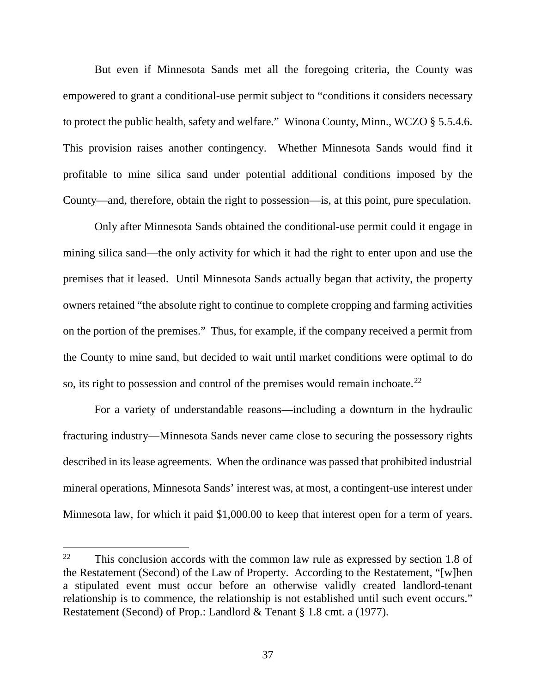But even if Minnesota Sands met all the foregoing criteria, the County was empowered to grant a conditional-use permit subject to "conditions it considers necessary to protect the public health, safety and welfare." Winona County, Minn., WCZO § 5.5.4.6. This provision raises another contingency. Whether Minnesota Sands would find it profitable to mine silica sand under potential additional conditions imposed by the County—and, therefore, obtain the right to possession—is, at this point, pure speculation.

Only after Minnesota Sands obtained the conditional-use permit could it engage in mining silica sand—the only activity for which it had the right to enter upon and use the premises that it leased. Until Minnesota Sands actually began that activity, the property owners retained "the absolute right to continue to complete cropping and farming activities on the portion of the premises." Thus, for example, if the company received a permit from the County to mine sand, but decided to wait until market conditions were optimal to do so, its right to possession and control of the premises would remain inchoate.<sup>[22](#page-36-0)</sup>

For a variety of understandable reasons—including a downturn in the hydraulic fracturing industry—Minnesota Sands never came close to securing the possessory rights described in its lease agreements. When the ordinance was passed that prohibited industrial mineral operations, Minnesota Sands' interest was, at most, a contingent-use interest under Minnesota law, for which it paid \$1,000.00 to keep that interest open for a term of years.

<span id="page-36-0"></span><sup>&</sup>lt;sup>22</sup> This conclusion accords with the common law rule as expressed by section 1.8 of the Restatement (Second) of the Law of Property. According to the Restatement, "[w]hen a stipulated event must occur before an otherwise validly created landlord-tenant relationship is to commence, the relationship is not established until such event occurs." Restatement (Second) of Prop.: Landlord & Tenant § 1.8 cmt. a (1977).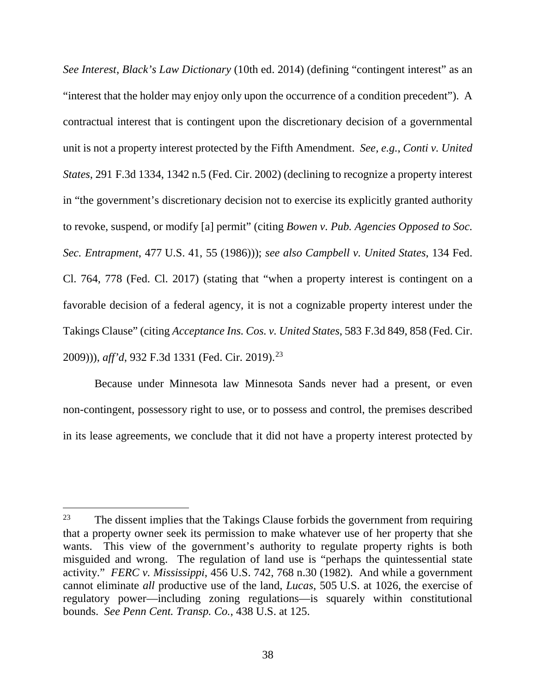*See Interest*, *Black's Law Dictionary* (10th ed. 2014) (defining "contingent interest" as an "interest that the holder may enjoy only upon the occurrence of a condition precedent"). A contractual interest that is contingent upon the discretionary decision of a governmental unit is not a property interest protected by the Fifth Amendment. *See, e.g.*, *Conti v. United States*, 291 F.3d 1334, 1342 n.5 (Fed. Cir. 2002) (declining to recognize a property interest in "the government's discretionary decision not to exercise its explicitly granted authority to revoke, suspend, or modify [a] permit" (citing *Bowen v. Pub. Agencies Opposed to Soc. Sec. Entrapment*, 477 U.S. 41, 55 (1986))); *see also Campbell v. United States*, 134 Fed. Cl. 764, 778 (Fed. Cl. 2017) (stating that "when a property interest is contingent on a favorable decision of a federal agency, it is not a cognizable property interest under the Takings Clause" (citing *Acceptance Ins. Cos. v. United States*, 583 F.3d 849, 858 (Fed. Cir. 2009))), *aff'd*, 932 F.3d 1331 (Fed. Cir. 2019). [23](#page-37-0)

Because under Minnesota law Minnesota Sands never had a present, or even non-contingent, possessory right to use, or to possess and control, the premises described in its lease agreements, we conclude that it did not have a property interest protected by

<span id="page-37-0"></span> $23$  The dissent implies that the Takings Clause forbids the government from requiring that a property owner seek its permission to make whatever use of her property that she wants. This view of the government's authority to regulate property rights is both misguided and wrong. The regulation of land use is "perhaps the quintessential state activity." *FERC v. Mississippi*, 456 U.S. 742, 768 n.30 (1982). And while a government cannot eliminate *all* productive use of the land, *Lucas*, 505 U.S. at 1026, the exercise of regulatory power—including zoning regulations—is squarely within constitutional bounds. *See Penn Cent. Transp. Co.*, 438 U.S. at 125.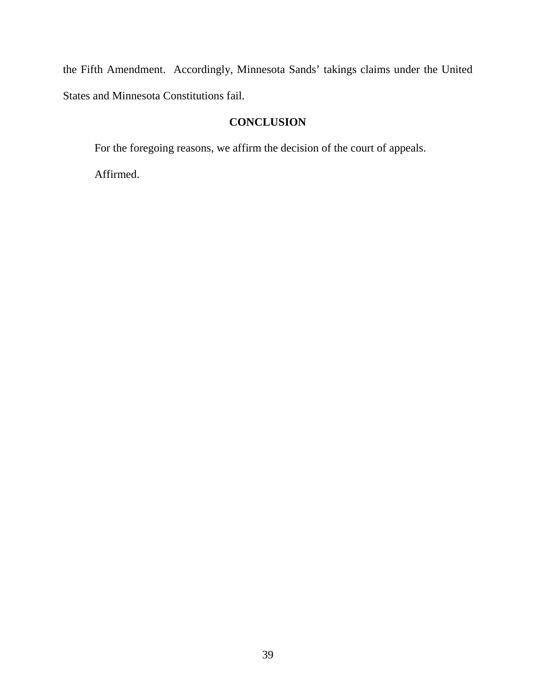the Fifth Amendment. Accordingly, Minnesota Sands' takings claims under the United States and Minnesota Constitutions fail.

# **CONCLUSION**

For the foregoing reasons, we affirm the decision of the court of appeals.

Affirmed.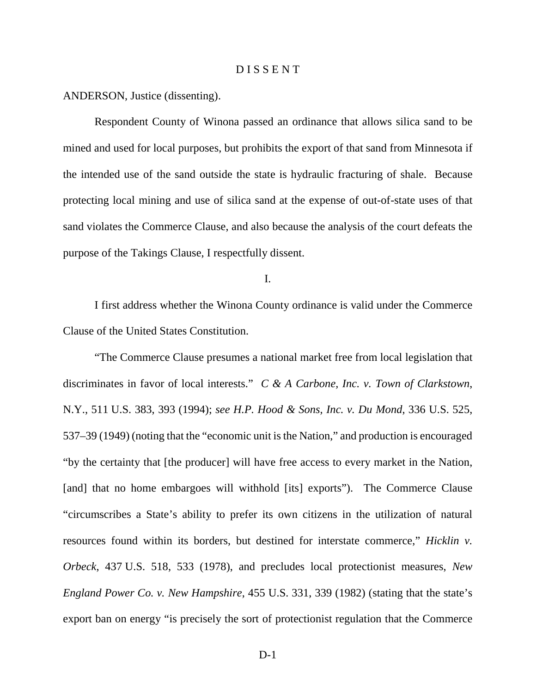#### D I S S E N T

ANDERSON, Justice (dissenting).

Respondent County of Winona passed an ordinance that allows silica sand to be mined and used for local purposes, but prohibits the export of that sand from Minnesota if the intended use of the sand outside the state is hydraulic fracturing of shale. Because protecting local mining and use of silica sand at the expense of out-of-state uses of that sand violates the Commerce Clause, and also because the analysis of the court defeats the purpose of the Takings Clause, I respectfully dissent.

I.

I first address whether the Winona County ordinance is valid under the Commerce Clause of the United States Constitution.

"The Commerce Clause presumes a national market free from local legislation that discriminates in favor of local interests." *C & A Carbone, Inc. v. Town of Clarkstown*, N.Y., 511 U.S. 383, 393 (1994); *see H.P. Hood & Sons, Inc. v. Du Mond*, 336 U.S. 525, 537–39 (1949) (noting that the "economic unit is the Nation," and production is encouraged "by the certainty that [the producer] will have free access to every market in the Nation, [and] that no home embargoes will withhold [its] exports"). The Commerce Clause "circumscribes a State's ability to prefer its own citizens in the utilization of natural resources found within its borders, but destined for interstate commerce," *Hicklin v. Orbeck*, 437 U.S. 518, 533 (1978), and precludes local protectionist measures, *New England Power Co. v. New Hampshire*, 455 U.S. 331, 339 (1982) (stating that the state's export ban on energy "is precisely the sort of protectionist regulation that the Commerce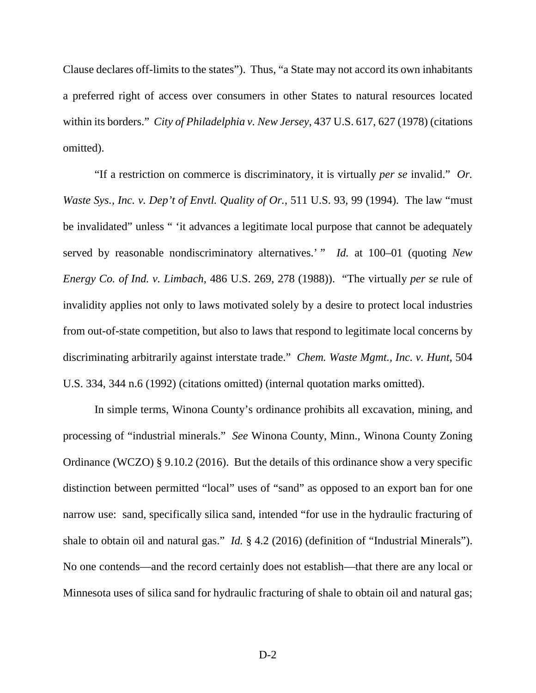Clause declares off-limits to the states"). Thus, "a State may not accord its own inhabitants a preferred right of access over consumers in other States to natural resources located within its borders." *City of Philadelphia v. New Jersey*, 437 U.S. 617, 627 (1978) (citations omitted).

"If a restriction on commerce is discriminatory, it is virtually *per se* invalid." *Or. Waste Sys., Inc. v. Dep't of Envtl. Quality of Or.*, 511 U.S. 93, 99 (1994). The law "must be invalidated" unless " 'it advances a legitimate local purpose that cannot be adequately served by reasonable nondiscriminatory alternatives.' " *Id.* at 100–01 (quoting *New Energy Co. of Ind. v. Limbach*, 486 U.S. 269, 278 (1988)). "The virtually *per se* rule of invalidity applies not only to laws motivated solely by a desire to protect local industries from out-of-state competition, but also to laws that respond to legitimate local concerns by discriminating arbitrarily against interstate trade." *Chem. Waste Mgmt., Inc. v. Hunt*, 504 U.S. 334, 344 n.6 (1992) (citations omitted) (internal quotation marks omitted).

In simple terms, Winona County's ordinance prohibits all excavation, mining, and processing of "industrial minerals." *See* Winona County, Minn., Winona County Zoning Ordinance (WCZO) § 9.10.2 (2016). But the details of this ordinance show a very specific distinction between permitted "local" uses of "sand" as opposed to an export ban for one narrow use: sand, specifically silica sand, intended "for use in the hydraulic fracturing of shale to obtain oil and natural gas." *Id.* § 4.2 (2016) (definition of "Industrial Minerals"). No one contends—and the record certainly does not establish—that there are any local or Minnesota uses of silica sand for hydraulic fracturing of shale to obtain oil and natural gas;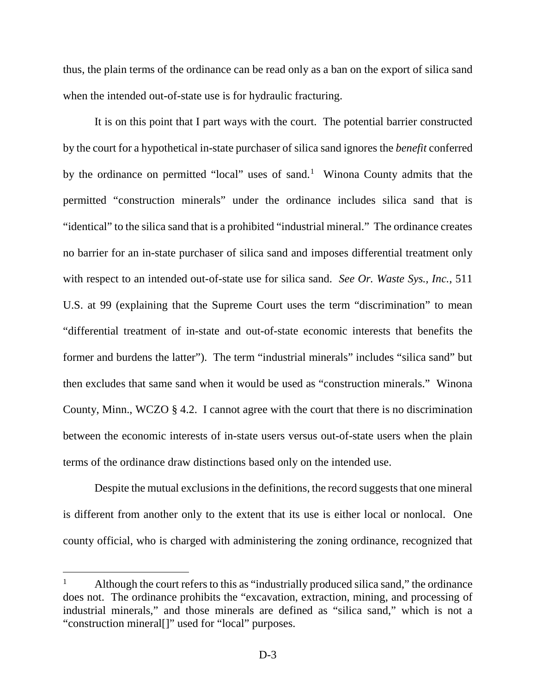thus, the plain terms of the ordinance can be read only as a ban on the export of silica sand when the intended out-of-state use is for hydraulic fracturing.

It is on this point that I part ways with the court. The potential barrier constructed by the court for a hypothetical in-state purchaser of silica sand ignores the *benefit* conferred by the ordinance on permitted "local" uses of sand.<sup>[1](#page-41-0)</sup> Winona County admits that the permitted "construction minerals" under the ordinance includes silica sand that is "identical" to the silica sand that is a prohibited "industrial mineral." The ordinance creates no barrier for an in-state purchaser of silica sand and imposes differential treatment only with respect to an intended out-of-state use for silica sand. *See Or. Waste Sys., Inc.*, 511 U.S. at 99 (explaining that the Supreme Court uses the term "discrimination" to mean "differential treatment of in-state and out-of-state economic interests that benefits the former and burdens the latter"). The term "industrial minerals" includes "silica sand" but then excludes that same sand when it would be used as "construction minerals." Winona County, Minn., WCZO § 4.2. I cannot agree with the court that there is no discrimination between the economic interests of in-state users versus out-of-state users when the plain terms of the ordinance draw distinctions based only on the intended use.

Despite the mutual exclusions in the definitions, the record suggests that one mineral is different from another only to the extent that its use is either local or nonlocal. One county official, who is charged with administering the zoning ordinance, recognized that

<span id="page-41-0"></span><sup>&</sup>lt;sup>1</sup> Although the court refers to this as "industrially produced silica sand," the ordinance does not. The ordinance prohibits the "excavation, extraction, mining, and processing of industrial minerals," and those minerals are defined as "silica sand," which is not a "construction mineral[]" used for "local" purposes.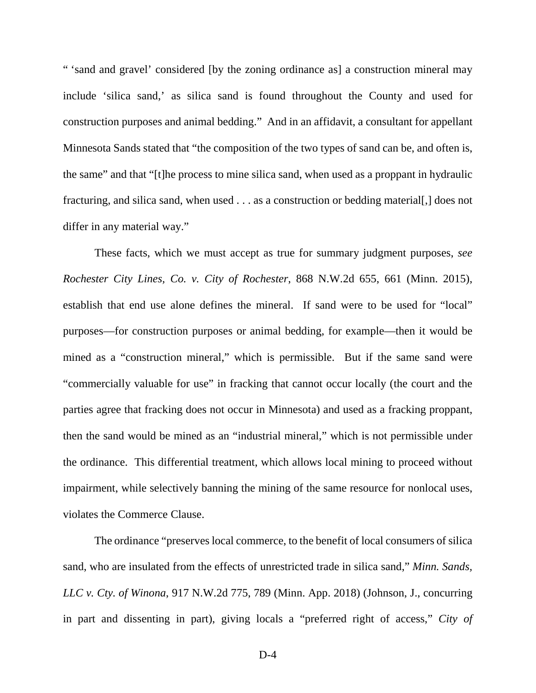" 'sand and gravel' considered [by the zoning ordinance as] a construction mineral may include 'silica sand,' as silica sand is found throughout the County and used for construction purposes and animal bedding." And in an affidavit, a consultant for appellant Minnesota Sands stated that "the composition of the two types of sand can be, and often is, the same" and that "[t]he process to mine silica sand, when used as a proppant in hydraulic fracturing, and silica sand, when used . . . as a construction or bedding material[,] does not differ in any material way."

These facts, which we must accept as true for summary judgment purposes, *see Rochester City Lines, Co. v. City of Rochester*, 868 N.W.2d 655, 661 (Minn. 2015), establish that end use alone defines the mineral. If sand were to be used for "local" purposes—for construction purposes or animal bedding, for example—then it would be mined as a "construction mineral," which is permissible. But if the same sand were "commercially valuable for use" in fracking that cannot occur locally (the court and the parties agree that fracking does not occur in Minnesota) and used as a fracking proppant, then the sand would be mined as an "industrial mineral," which is not permissible under the ordinance. This differential treatment, which allows local mining to proceed without impairment, while selectively banning the mining of the same resource for nonlocal uses, violates the Commerce Clause.

The ordinance "preserves local commerce, to the benefit of local consumers of silica sand, who are insulated from the effects of unrestricted trade in silica sand," *Minn. Sands, LLC v. Cty. of Winona*, 917 N.W.2d 775, 789 (Minn. App. 2018) (Johnson, J., concurring in part and dissenting in part), giving locals a "preferred right of access," *City of*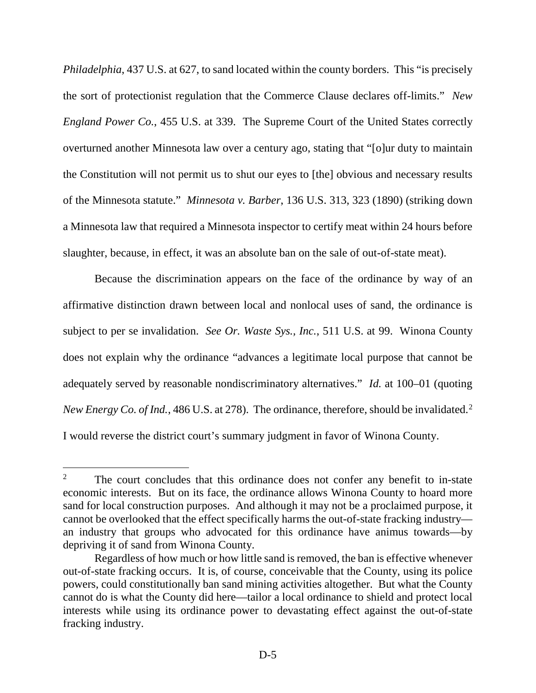*Philadelphia*, 437 U.S. at 627, to sand located within the county borders. This "is precisely the sort of protectionist regulation that the Commerce Clause declares off-limits." *New England Power Co.*, 455 U.S. at 339. The Supreme Court of the United States correctly overturned another Minnesota law over a century ago, stating that "[o]ur duty to maintain the Constitution will not permit us to shut our eyes to [the] obvious and necessary results of the Minnesota statute." *Minnesota v. Barber*, 136 U.S. 313, 323 (1890) (striking down a Minnesota law that required a Minnesota inspector to certify meat within 24 hours before slaughter, because, in effect, it was an absolute ban on the sale of out-of-state meat).

Because the discrimination appears on the face of the ordinance by way of an affirmative distinction drawn between local and nonlocal uses of sand, the ordinance is subject to per se invalidation.*See Or. Waste Sys., Inc.*, 511 U.S. at 99. Winona County does not explain why the ordinance "advances a legitimate local purpose that cannot be adequately served by reasonable nondiscriminatory alternatives." *Id.* at 100–01 (quoting *New Energy Co. of Ind.*, 486 U.S. at [2](#page-43-0)78). The ordinance, therefore, should be invalidated.<sup>2</sup> I would reverse the district court's summary judgment in favor of Winona County.

<span id="page-43-0"></span><sup>&</sup>lt;sup>2</sup> The court concludes that this ordinance does not confer any benefit to in-state economic interests. But on its face, the ordinance allows Winona County to hoard more sand for local construction purposes. And although it may not be a proclaimed purpose, it cannot be overlooked that the effect specifically harms the out-of-state fracking industry an industry that groups who advocated for this ordinance have animus towards—by depriving it of sand from Winona County.

Regardless of how much or how little sand is removed, the ban is effective whenever out-of-state fracking occurs. It is, of course, conceivable that the County, using its police powers, could constitutionally ban sand mining activities altogether. But what the County cannot do is what the County did here—tailor a local ordinance to shield and protect local interests while using its ordinance power to devastating effect against the out-of-state fracking industry.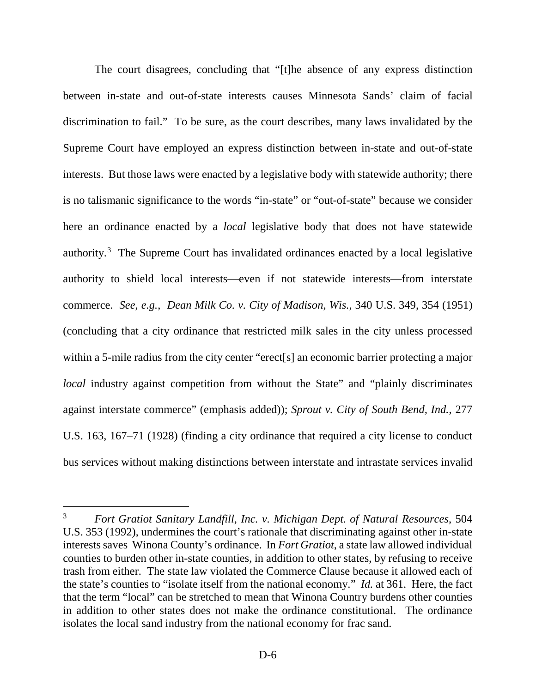The court disagrees, concluding that "[t]he absence of any express distinction between in-state and out-of-state interests causes Minnesota Sands' claim of facial discrimination to fail." To be sure, as the court describes, many laws invalidated by the Supreme Court have employed an express distinction between in-state and out-of-state interests. But those laws were enacted by a legislative body with statewide authority; there is no talismanic significance to the words "in-state" or "out-of-state" because we consider here an ordinance enacted by a *local* legislative body that does not have statewide authority.<sup>[3](#page-44-0)</sup> The Supreme Court has invalidated ordinances enacted by a local legislative authority to shield local interests—even if not statewide interests—from interstate commerce. *See, e.g.*, *Dean Milk Co. v. City of Madison, Wis.*, 340 U.S. 349, 354 (1951) (concluding that a city ordinance that restricted milk sales in the city unless processed within a 5-mile radius from the city center "erect<sup>[s]</sup> an economic barrier protecting a major *local* industry against competition from without the State" and "plainly discriminates against interstate commerce" (emphasis added)); *Sprout v. City of South Bend, Ind.*, 277 U.S. 163, 167–71 (1928) (finding a city ordinance that required a city license to conduct bus services without making distinctions between interstate and intrastate services invalid

<span id="page-44-0"></span> <sup>3</sup> *Fort Gratiot Sanitary Landfill, Inc. v. Michigan Dept. of Natural Resources*, 504 U.S. 353 (1992), undermines the court's rationale that discriminating against other in-state interests saves Winona County's ordinance. In *Fort Gratiot*, a state law allowed individual counties to burden other in-state counties, in addition to other states, by refusing to receive trash from either. The state law violated the Commerce Clause because it allowed each of the state's counties to "isolate itself from the national economy." *Id.* at 361. Here, the fact that the term "local" can be stretched to mean that Winona Country burdens other counties in addition to other states does not make the ordinance constitutional. The ordinance isolates the local sand industry from the national economy for frac sand.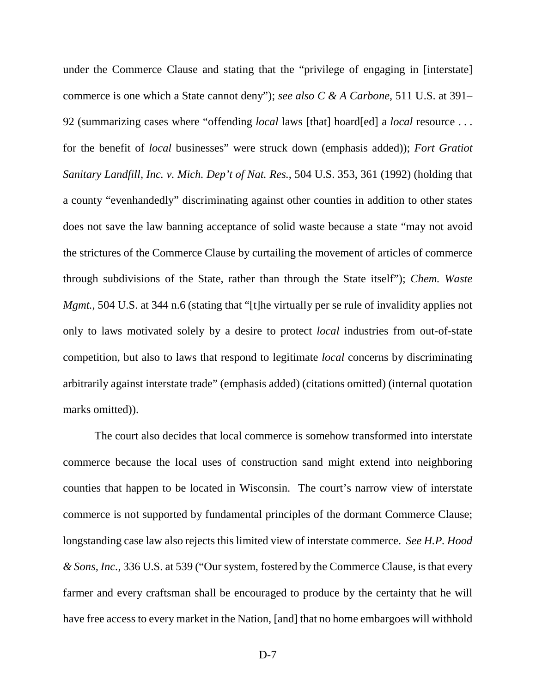under the Commerce Clause and stating that the "privilege of engaging in [interstate] commerce is one which a State cannot deny"); *see also C & A Carbone*, 511 U.S. at 391– 92 (summarizing cases where "offending *local* laws [that] hoard[ed] a *local* resource . . . for the benefit of *local* businesses" were struck down (emphasis added)); *Fort Gratiot Sanitary Landfill, Inc. v. Mich. Dep't of Nat. Res.*, 504 U.S. 353, 361 (1992) (holding that a county "evenhandedly" discriminating against other counties in addition to other states does not save the law banning acceptance of solid waste because a state "may not avoid the strictures of the Commerce Clause by curtailing the movement of articles of commerce through subdivisions of the State, rather than through the State itself"); *Chem. Waste Mgmt.*, 504 U.S. at 344 n.6 (stating that "[t]he virtually per se rule of invalidity applies not only to laws motivated solely by a desire to protect *local* industries from out-of-state competition, but also to laws that respond to legitimate *local* concerns by discriminating arbitrarily against interstate trade" (emphasis added) (citations omitted) (internal quotation marks omitted)).

The court also decides that local commerce is somehow transformed into interstate commerce because the local uses of construction sand might extend into neighboring counties that happen to be located in Wisconsin. The court's narrow view of interstate commerce is not supported by fundamental principles of the dormant Commerce Clause; longstanding case law also rejects this limited view of interstate commerce. *See H.P. Hood & Sons, Inc.*, 336 U.S. at 539 ("Our system, fostered by the Commerce Clause, is that every farmer and every craftsman shall be encouraged to produce by the certainty that he will have free access to every market in the Nation, [and] that no home embargoes will withhold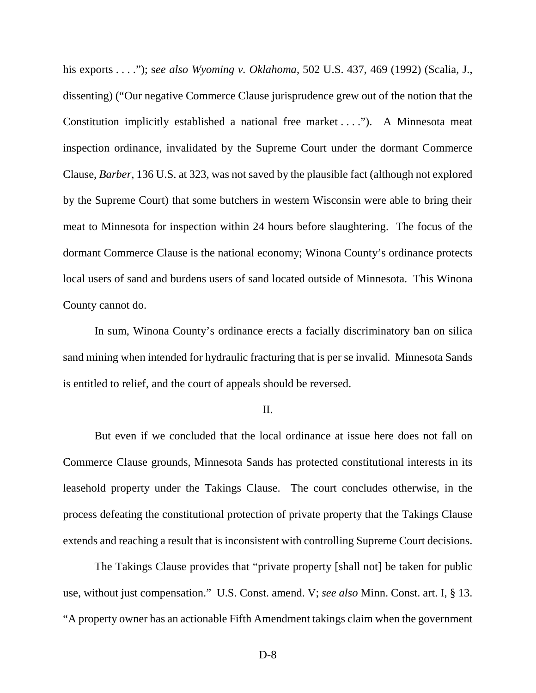his exports . . . ."); s*ee also Wyoming v. Oklahoma*, 502 U.S. 437, 469 (1992) (Scalia, J., dissenting) ("Our negative Commerce Clause jurisprudence grew out of the notion that the Constitution implicitly established a national free market . . . ."). A Minnesota meat inspection ordinance, invalidated by the Supreme Court under the dormant Commerce Clause, *Barber*, 136 U.S. at 323, was not saved by the plausible fact (although not explored by the Supreme Court) that some butchers in western Wisconsin were able to bring their meat to Minnesota for inspection within 24 hours before slaughtering. The focus of the dormant Commerce Clause is the national economy; Winona County's ordinance protects local users of sand and burdens users of sand located outside of Minnesota. This Winona County cannot do.

In sum, Winona County's ordinance erects a facially discriminatory ban on silica sand mining when intended for hydraulic fracturing that is per se invalid. Minnesota Sands is entitled to relief, and the court of appeals should be reversed.

#### II.

But even if we concluded that the local ordinance at issue here does not fall on Commerce Clause grounds, Minnesota Sands has protected constitutional interests in its leasehold property under the Takings Clause. The court concludes otherwise, in the process defeating the constitutional protection of private property that the Takings Clause extends and reaching a result that is inconsistent with controlling Supreme Court decisions.

The Takings Clause provides that "private property [shall not] be taken for public use, without just compensation." U.S. Const. amend. V; *see also* Minn. Const. art. I, § 13. "A property owner has an actionable Fifth Amendment takings claim when the government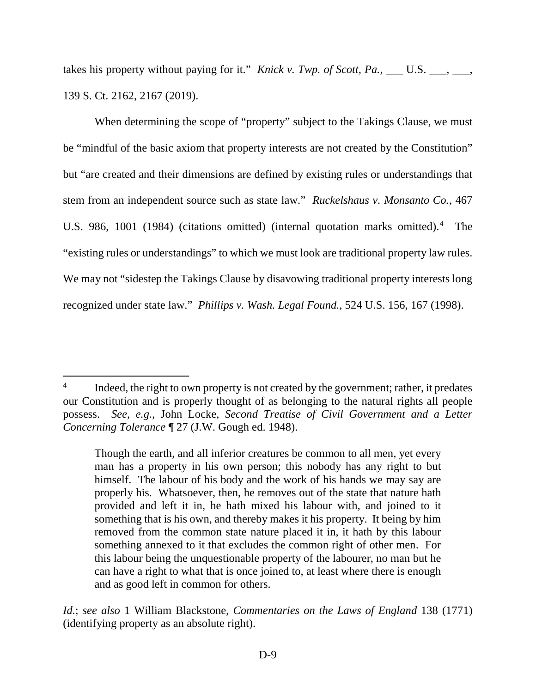takes his property without paying for it." *Knick v. Twp. of Scott, Pa.*, \_\_\_ U.S. \_\_\_, \_\_\_, 139 S. Ct. 2162, 2167 (2019).

When determining the scope of "property" subject to the Takings Clause, we must be "mindful of the basic axiom that property interests are not created by the Constitution" but "are created and their dimensions are defined by existing rules or understandings that stem from an independent source such as state law." *Ruckelshaus v. Monsanto Co.*, 467 U.S. 986, 1001 (198[4](#page-47-0)) (citations omitted) (internal quotation marks omitted).<sup>4</sup> The "existing rules or understandings" to which we must look are traditional property law rules. We may not "sidestep the Takings Clause by disavowing traditional property interests long recognized under state law." *Phillips v. Wash. Legal Found.*, 524 U.S. 156, 167 (1998).

<span id="page-47-0"></span><sup>&</sup>lt;sup>4</sup> Indeed, the right to own property is not created by the government; rather, it predates our Constitution and is properly thought of as belonging to the natural rights all people possess. *See, e.g.*, John Locke, *Second Treatise of Civil Government and a Letter Concerning Tolerance* ¶ 27 (J.W. Gough ed. 1948).

Though the earth, and all inferior creatures be common to all men, yet every man has a property in his own person; this nobody has any right to but himself. The labour of his body and the work of his hands we may say are properly his. Whatsoever, then, he removes out of the state that nature hath provided and left it in, he hath mixed his labour with, and joined to it something that is his own, and thereby makes it his property. It being by him removed from the common state nature placed it in, it hath by this labour something annexed to it that excludes the common right of other men. For this labour being the unquestionable property of the labourer, no man but he can have a right to what that is once joined to, at least where there is enough and as good left in common for others.

*Id.*; *see also* 1 William Blackstone, *Commentaries on the Laws of England* 138 (1771) (identifying property as an absolute right).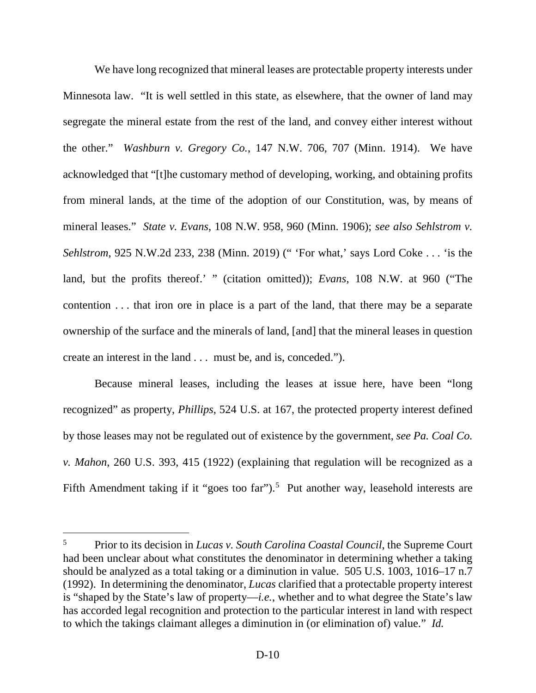We have long recognized that mineral leases are protectable property interests under Minnesota law. "It is well settled in this state, as elsewhere, that the owner of land may segregate the mineral estate from the rest of the land, and convey either interest without the other." *Washburn v. Gregory Co.*, 147 N.W. 706, 707 (Minn. 1914). We have acknowledged that "[t]he customary method of developing, working, and obtaining profits from mineral lands, at the time of the adoption of our Constitution, was, by means of mineral leases." *State v. Evans*, 108 N.W. 958, 960 (Minn. 1906); *see also Sehlstrom v. Sehlstrom*, 925 N.W.2d 233, 238 (Minn. 2019) (" 'For what,' says Lord Coke . . . 'is the land, but the profits thereof.' " (citation omitted)); *Evans*, 108 N.W. at 960 ("The contention . . . that iron ore in place is a part of the land, that there may be a separate ownership of the surface and the minerals of land, [and] that the mineral leases in question create an interest in the land . . . must be, and is, conceded.").

Because mineral leases, including the leases at issue here, have been "long recognized" as property, *Phillips*, 524 U.S. at 167, the protected property interest defined by those leases may not be regulated out of existence by the government, *see Pa. Coal Co. v. Mahon*, 260 U.S. 393, 415 (1922) (explaining that regulation will be recognized as a Fifth Amendment taking if it "goes too far").<sup>[5](#page-48-0)</sup> Put another way, leasehold interests are

<span id="page-48-0"></span> <sup>5</sup> Prior to its decision in *Lucas v. South Carolina Coastal Council*, the Supreme Court had been unclear about what constitutes the denominator in determining whether a taking should be analyzed as a total taking or a diminution in value. 505 U.S. 1003, 1016–17 n.7 (1992). In determining the denominator, *Lucas* clarified that a protectable property interest is "shaped by the State's law of property—*i.e.*, whether and to what degree the State's law has accorded legal recognition and protection to the particular interest in land with respect to which the takings claimant alleges a diminution in (or elimination of) value." *Id.*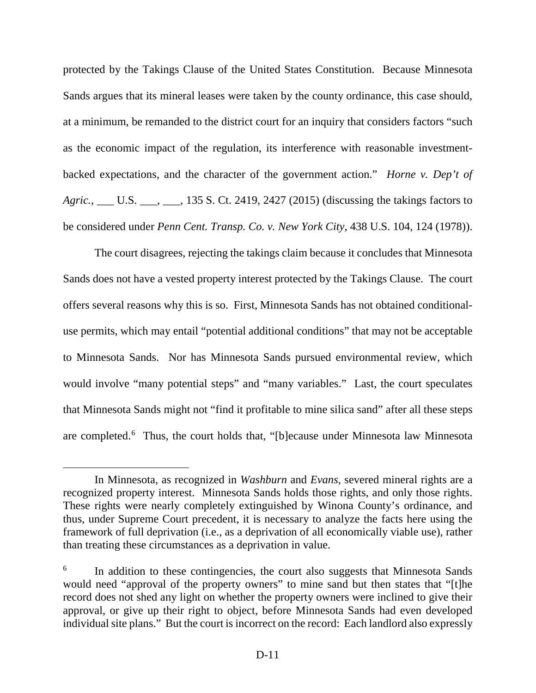protected by the Takings Clause of the United States Constitution. Because Minnesota Sands argues that its mineral leases were taken by the county ordinance, this case should, at a minimum, be remanded to the district court for an inquiry that considers factors "such as the economic impact of the regulation, its interference with reasonable investmentbacked expectations, and the character of the government action." *Horne v. Dep't of*  Agric., \_\_\_ U.S. \_\_\_, \_\_\_, 135 S. Ct. 2419, 2427 (2015) (discussing the takings factors to be considered under *Penn Cent. Transp. Co. v. New York City*, 438 U.S. 104, 124 (1978)).

The court disagrees, rejecting the takings claim because it concludes that Minnesota Sands does not have a vested property interest protected by the Takings Clause. The court offers several reasons why this is so. First, Minnesota Sands has not obtained conditionaluse permits, which may entail "potential additional conditions" that may not be acceptable to Minnesota Sands. Nor has Minnesota Sands pursued environmental review, which would involve "many potential steps" and "many variables." Last, the court speculates that Minnesota Sands might not "find it profitable to mine silica sand" after all these steps are completed.<sup>[6](#page-49-0)</sup> Thus, the court holds that, "[b]ecause under Minnesota law Minnesota

 $\overline{a}$ 

In Minnesota, as recognized in *Washburn* and *Evans*, severed mineral rights are a recognized property interest. Minnesota Sands holds those rights, and only those rights. These rights were nearly completely extinguished by Winona County's ordinance, and thus, under Supreme Court precedent, it is necessary to analyze the facts here using the framework of full deprivation (i.e., as a deprivation of all economically viable use), rather than treating these circumstances as a deprivation in value.

<span id="page-49-0"></span><sup>&</sup>lt;sup>6</sup> In addition to these contingencies, the court also suggests that Minnesota Sands would need "approval of the property owners" to mine sand but then states that "[t]he record does not shed any light on whether the property owners were inclined to give their approval, or give up their right to object, before Minnesota Sands had even developed individual site plans." But the court is incorrect on the record: Each landlord also expressly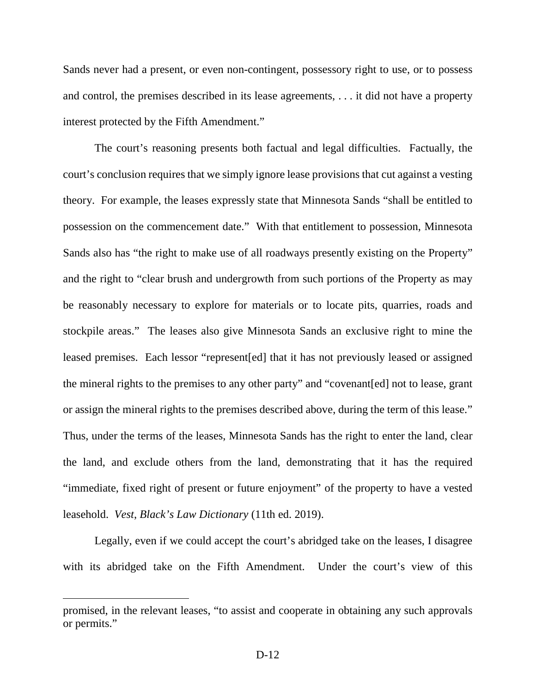Sands never had a present, or even non-contingent, possessory right to use, or to possess and control, the premises described in its lease agreements, . . . it did not have a property interest protected by the Fifth Amendment."

The court's reasoning presents both factual and legal difficulties. Factually, the court's conclusion requires that we simply ignore lease provisions that cut against a vesting theory. For example, the leases expressly state that Minnesota Sands "shall be entitled to possession on the commencement date." With that entitlement to possession, Minnesota Sands also has "the right to make use of all roadways presently existing on the Property" and the right to "clear brush and undergrowth from such portions of the Property as may be reasonably necessary to explore for materials or to locate pits, quarries, roads and stockpile areas." The leases also give Minnesota Sands an exclusive right to mine the leased premises. Each lessor "represent[ed] that it has not previously leased or assigned the mineral rights to the premises to any other party" and "covenant[ed] not to lease, grant or assign the mineral rights to the premises described above, during the term of this lease." Thus, under the terms of the leases, Minnesota Sands has the right to enter the land, clear the land, and exclude others from the land, demonstrating that it has the required "immediate, fixed right of present or future enjoyment" of the property to have a vested leasehold. *Vest*, *Black's Law Dictionary* (11th ed. 2019).

Legally, even if we could accept the court's abridged take on the leases, I disagree with its abridged take on the Fifth Amendment. Under the court's view of this

promised, in the relevant leases, "to assist and cooperate in obtaining any such approvals or permits."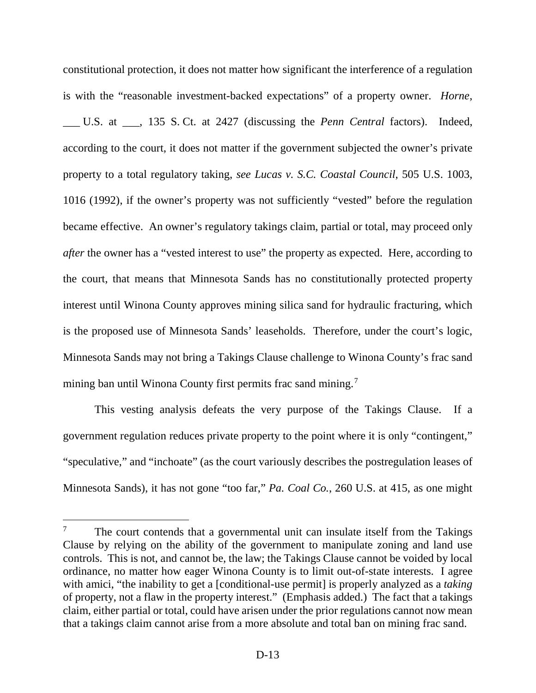constitutional protection, it does not matter how significant the interference of a regulation is with the "reasonable investment-backed expectations" of a property owner. *Horne*, \_\_\_ U.S. at \_\_\_, 135 S. Ct. at 2427 (discussing the *Penn Central* factors). Indeed, according to the court, it does not matter if the government subjected the owner's private property to a total regulatory taking, *see Lucas v. S.C. Coastal Council*, 505 U.S. 1003, 1016 (1992), if the owner's property was not sufficiently "vested" before the regulation became effective. An owner's regulatory takings claim, partial or total, may proceed only *after* the owner has a "vested interest to use" the property as expected. Here, according to the court, that means that Minnesota Sands has no constitutionally protected property interest until Winona County approves mining silica sand for hydraulic fracturing, which is the proposed use of Minnesota Sands' leaseholds. Therefore, under the court's logic, Minnesota Sands may not bring a Takings Clause challenge to Winona County's frac sand mining ban until Winona County first permits frac sand mining.<sup>[7](#page-51-0)</sup>

This vesting analysis defeats the very purpose of the Takings Clause. If a government regulation reduces private property to the point where it is only "contingent," "speculative," and "inchoate" (as the court variously describes the postregulation leases of Minnesota Sands), it has not gone "too far," *Pa. Coal Co.*, 260 U.S. at 415, as one might

<span id="page-51-0"></span>The court contends that a governmental unit can insulate itself from the Takings Clause by relying on the ability of the government to manipulate zoning and land use controls. This is not, and cannot be, the law; the Takings Clause cannot be voided by local ordinance, no matter how eager Winona County is to limit out-of-state interests. I agree with amici, "the inability to get a [conditional-use permit] is properly analyzed as a *taking* of property, not a flaw in the property interest." (Emphasis added.) The fact that a takings claim, either partial or total, could have arisen under the prior regulations cannot now mean that a takings claim cannot arise from a more absolute and total ban on mining frac sand.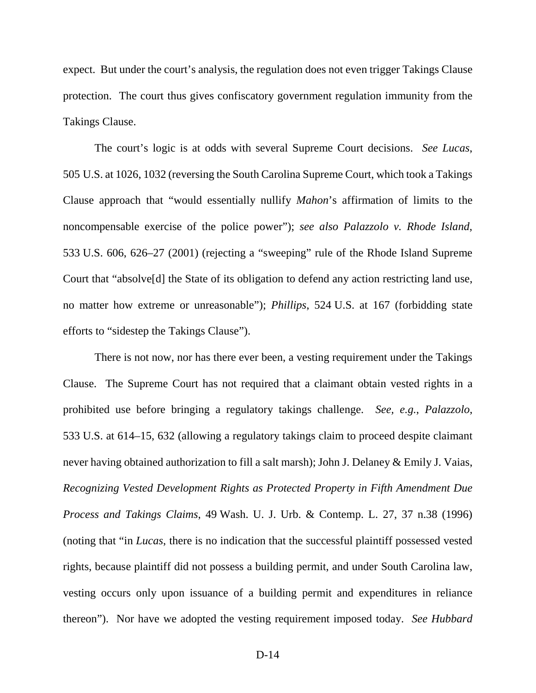expect. But under the court's analysis, the regulation does not even trigger Takings Clause protection. The court thus gives confiscatory government regulation immunity from the Takings Clause.

The court's logic is at odds with several Supreme Court decisions. *See Lucas*, 505 U.S. at 1026, 1032 (reversing the South Carolina Supreme Court, which took a Takings Clause approach that "would essentially nullify *Mahon*'s affirmation of limits to the noncompensable exercise of the police power"); *see also Palazzolo v. Rhode Island*, 533 U.S. 606, 626–27 (2001) (rejecting a "sweeping" rule of the Rhode Island Supreme Court that "absolve[d] the State of its obligation to defend any action restricting land use, no matter how extreme or unreasonable"); *Phillips*, 524 U.S. at 167 (forbidding state efforts to "sidestep the Takings Clause").

There is not now, nor has there ever been, a vesting requirement under the Takings Clause. The Supreme Court has not required that a claimant obtain vested rights in a prohibited use before bringing a regulatory takings challenge. *See, e.g.*, *Palazzolo*, 533 U.S. at 614–15, 632 (allowing a regulatory takings claim to proceed despite claimant never having obtained authorization to fill a salt marsh); John J. Delaney & Emily J. Vaias, *Recognizing Vested Development Rights as Protected Property in Fifth Amendment Due Process and Takings Claims*, 49 Wash. U. J. Urb. & Contemp. L. 27, 37 n.38 (1996) (noting that "in *Lucas*, there is no indication that the successful plaintiff possessed vested rights, because plaintiff did not possess a building permit, and under South Carolina law, vesting occurs only upon issuance of a building permit and expenditures in reliance thereon"). Nor have we adopted the vesting requirement imposed today. *See Hubbard*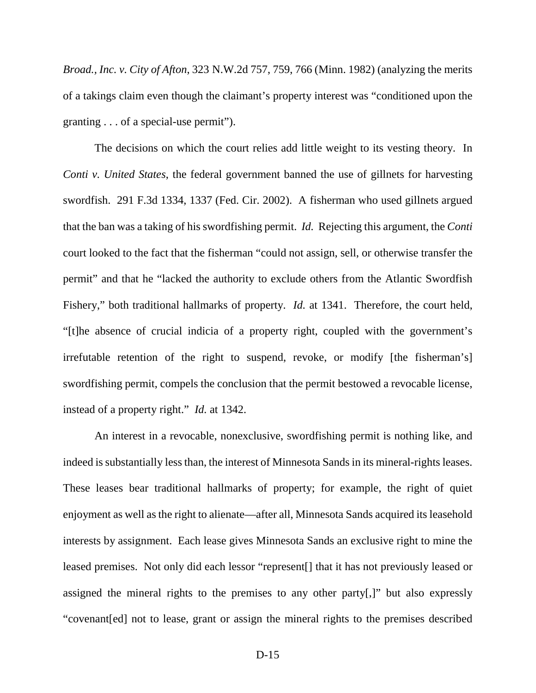*Broad., Inc. v. City of Afton*, 323 N.W.2d 757, 759, 766 (Minn. 1982) (analyzing the merits of a takings claim even though the claimant's property interest was "conditioned upon the granting . . . of a special-use permit").

The decisions on which the court relies add little weight to its vesting theory. In *Conti v. United States*, the federal government banned the use of gillnets for harvesting swordfish. 291 F.3d 1334, 1337 (Fed. Cir. 2002). A fisherman who used gillnets argued that the ban was a taking of his swordfishing permit. *Id.* Rejecting this argument, the *Conti* court looked to the fact that the fisherman "could not assign, sell, or otherwise transfer the permit" and that he "lacked the authority to exclude others from the Atlantic Swordfish Fishery," both traditional hallmarks of property. *Id.* at 1341. Therefore, the court held, "[t]he absence of crucial indicia of a property right, coupled with the government's irrefutable retention of the right to suspend, revoke, or modify [the fisherman's] swordfishing permit, compels the conclusion that the permit bestowed a revocable license, instead of a property right." *Id.* at 1342.

An interest in a revocable, nonexclusive, swordfishing permit is nothing like, and indeed is substantially less than, the interest of Minnesota Sands in its mineral-rights leases. These leases bear traditional hallmarks of property; for example, the right of quiet enjoyment as well as the right to alienate—after all, Minnesota Sands acquired its leasehold interests by assignment. Each lease gives Minnesota Sands an exclusive right to mine the leased premises. Not only did each lessor "represent[] that it has not previously leased or assigned the mineral rights to the premises to any other party[,]" but also expressly "covenant[ed] not to lease, grant or assign the mineral rights to the premises described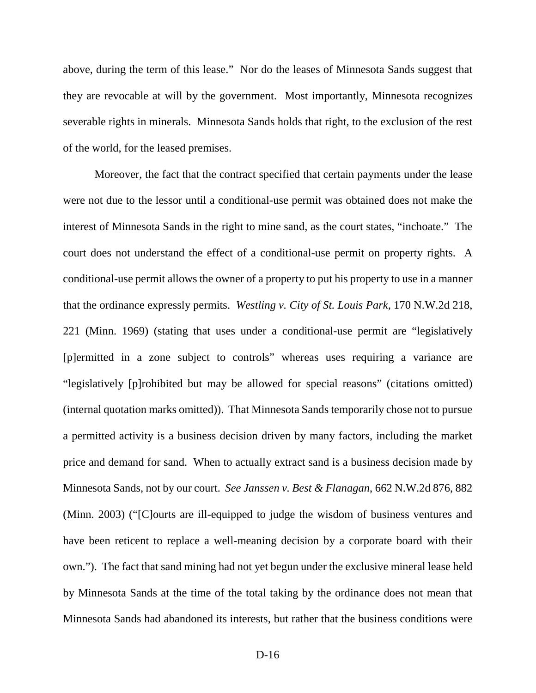above, during the term of this lease." Nor do the leases of Minnesota Sands suggest that they are revocable at will by the government. Most importantly, Minnesota recognizes severable rights in minerals. Minnesota Sands holds that right, to the exclusion of the rest of the world, for the leased premises.

Moreover, the fact that the contract specified that certain payments under the lease were not due to the lessor until a conditional-use permit was obtained does not make the interest of Minnesota Sands in the right to mine sand, as the court states, "inchoate." The court does not understand the effect of a conditional-use permit on property rights. A conditional-use permit allows the owner of a property to put his property to use in a manner that the ordinance expressly permits. *Westling v. City of St. Louis Park*, 170 N.W.2d 218, 221 (Minn. 1969) (stating that uses under a conditional-use permit are "legislatively [p]ermitted in a zone subject to controls" whereas uses requiring a variance are "legislatively [p]rohibited but may be allowed for special reasons" (citations omitted) (internal quotation marks omitted)). That Minnesota Sands temporarily chose not to pursue a permitted activity is a business decision driven by many factors, including the market price and demand for sand. When to actually extract sand is a business decision made by Minnesota Sands, not by our court. *See Janssen v. Best & Flanagan*, 662 N.W.2d 876, 882 (Minn. 2003) ("[C]ourts are ill-equipped to judge the wisdom of business ventures and have been reticent to replace a well-meaning decision by a corporate board with their own."). The fact that sand mining had not yet begun under the exclusive mineral lease held by Minnesota Sands at the time of the total taking by the ordinance does not mean that Minnesota Sands had abandoned its interests, but rather that the business conditions were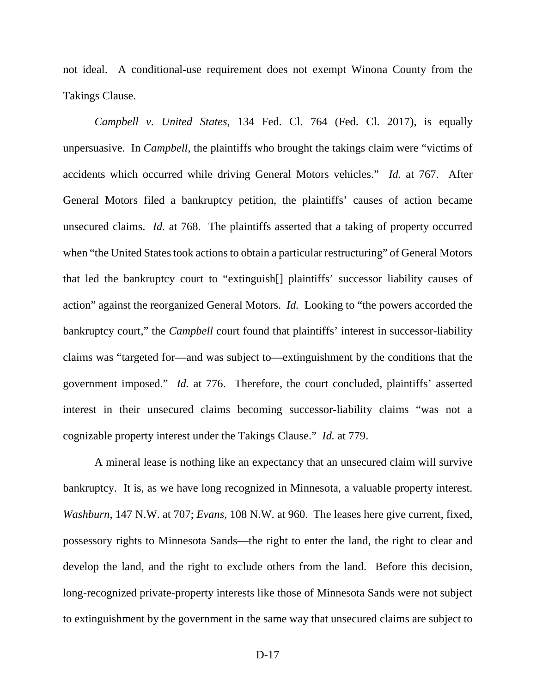not ideal. A conditional-use requirement does not exempt Winona County from the Takings Clause.

*Campbell v. United States*, 134 Fed. Cl. 764 (Fed. Cl. 2017), is equally unpersuasive. In *Campbell*, the plaintiffs who brought the takings claim were "victims of accidents which occurred while driving General Motors vehicles." *Id.* at 767. After General Motors filed a bankruptcy petition, the plaintiffs' causes of action became unsecured claims. *Id.* at 768. The plaintiffs asserted that a taking of property occurred when "the United States took actions to obtain a particular restructuring" of General Motors that led the bankruptcy court to "extinguish[] plaintiffs' successor liability causes of action" against the reorganized General Motors. *Id.* Looking to "the powers accorded the bankruptcy court," the *Campbell* court found that plaintiffs' interest in successor-liability claims was "targeted for—and was subject to—extinguishment by the conditions that the government imposed." *Id.* at 776. Therefore, the court concluded, plaintiffs' asserted interest in their unsecured claims becoming successor-liability claims "was not a cognizable property interest under the Takings Clause." *Id.* at 779.

A mineral lease is nothing like an expectancy that an unsecured claim will survive bankruptcy. It is, as we have long recognized in Minnesota, a valuable property interest. *Washburn*, 147 N.W. at 707; *Evans*, 108 N.W. at 960. The leases here give current, fixed, possessory rights to Minnesota Sands—the right to enter the land, the right to clear and develop the land, and the right to exclude others from the land. Before this decision, long-recognized private-property interests like those of Minnesota Sands were not subject to extinguishment by the government in the same way that unsecured claims are subject to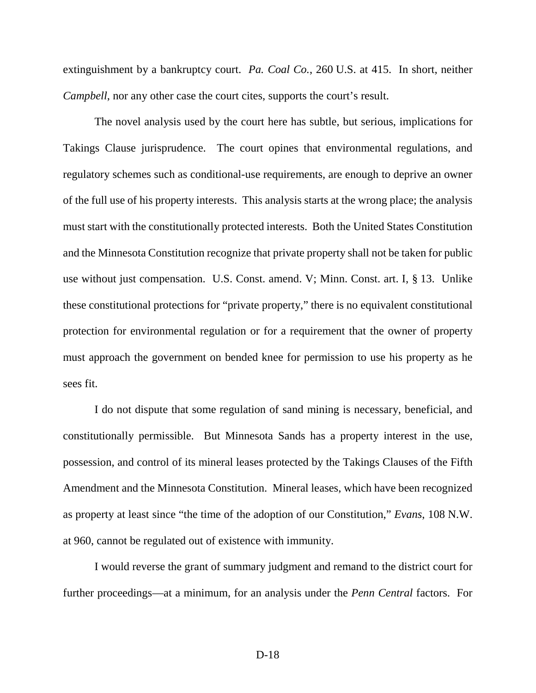extinguishment by a bankruptcy court. *Pa. Coal Co.*, 260 U.S. at 415. In short, neither *Campbell*, nor any other case the court cites, supports the court's result.

The novel analysis used by the court here has subtle, but serious, implications for Takings Clause jurisprudence. The court opines that environmental regulations, and regulatory schemes such as conditional-use requirements, are enough to deprive an owner of the full use of his property interests. This analysis starts at the wrong place; the analysis must start with the constitutionally protected interests. Both the United States Constitution and the Minnesota Constitution recognize that private property shall not be taken for public use without just compensation. U.S. Const. amend. V; Minn. Const. art. I, § 13. Unlike these constitutional protections for "private property," there is no equivalent constitutional protection for environmental regulation or for a requirement that the owner of property must approach the government on bended knee for permission to use his property as he sees fit.

I do not dispute that some regulation of sand mining is necessary, beneficial, and constitutionally permissible. But Minnesota Sands has a property interest in the use, possession, and control of its mineral leases protected by the Takings Clauses of the Fifth Amendment and the Minnesota Constitution. Mineral leases, which have been recognized as property at least since "the time of the adoption of our Constitution," *Evans*, 108 N.W. at 960, cannot be regulated out of existence with immunity.

I would reverse the grant of summary judgment and remand to the district court for further proceedings—at a minimum, for an analysis under the *Penn Central* factors. For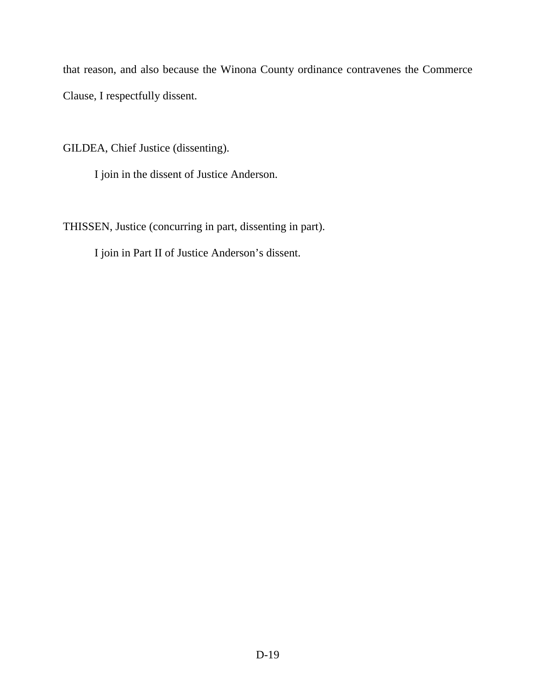that reason, and also because the Winona County ordinance contravenes the Commerce Clause, I respectfully dissent.

GILDEA, Chief Justice (dissenting).

I join in the dissent of Justice Anderson.

THISSEN, Justice (concurring in part, dissenting in part).

I join in Part II of Justice Anderson's dissent.